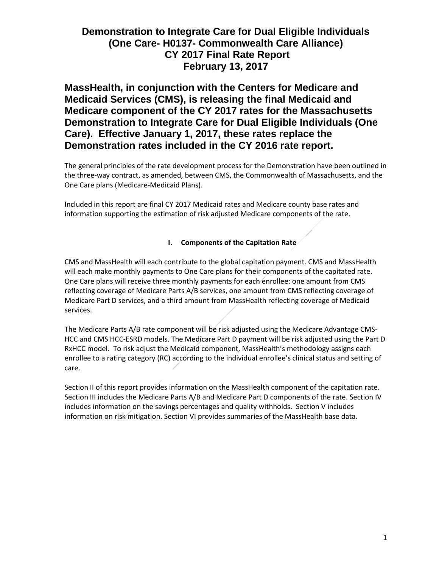**MassHealth, in conjunction with the Centers for Medicare and Medicaid Services (CMS), is releasing the final Medicaid and Medicare component of the CY 2017 rates for the Massachusetts Demonstration to Integrate Care for Dual Eligible Individuals (One Care). Effective January 1, 2017, these rates replace the Demonstration rates included in the CY 2016 rate report.**

The general principles of the rate development process for the Demonstration have been outlined in the three-way contract, as amended, between CMS, the Commonwealth of Massachusetts, and the One Care plans (Medicare-Medicaid Plans).

Included in this report are final CY 2017 Medicaid rates and Medicare county base rates and information supporting the estimation of risk adjusted Medicare components of the rate.

## **I. Components of the Capitation Rate**

CMS and MassHealth will each contribute to the global capitation payment. CMS and MassHealth will each make monthly payments to One Care plans for their components of the capitated rate. One Care plans will receive three monthly payments for each enrollee: one amount from CMS reflecting coverage of Medicare Parts A/B services, one amount from CMS reflecting coverage of Medicare Part D services, and a third amount from MassHealth reflecting coverage of Medicaid services.

The Medicare Parts A/B rate component will be risk adjusted using the Medicare Advantage CMS-HCC and CMS HCC-ESRD models. The Medicare Part D payment will be risk adjusted using the Part D RxHCC model. To risk adjust the Medicaid component, MassHealth's methodology assigns each enrollee to a rating category (RC) according to the individual enrollee's clinical status and setting of care.

Section II of this report provides information on the MassHealth component of the capitation rate. Section III includes the Medicare Parts A/B and Medicare Part D components of the rate. Section IV includes information on the savings percentages and quality withholds. Section V includes information on risk mitigation. Section VI provides summaries of the MassHealth base data.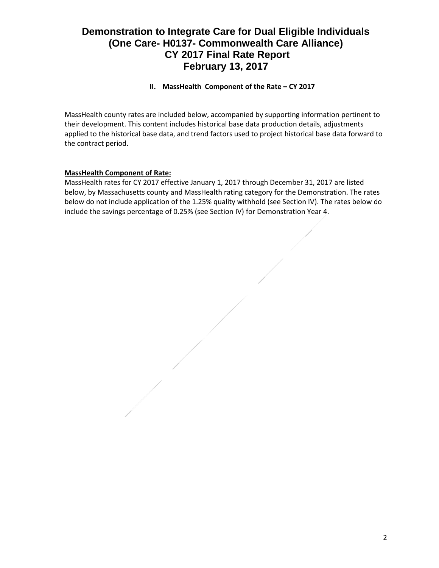## **II. MassHealth Component of the Rate – CY 2017**

MassHealth county rates are included below, accompanied by supporting information pertinent to their development. This content includes historical base data production details, adjustments applied to the historical base data, and trend factors used to project historical base data forward to the contract period.

## **MassHealth Component of Rate:**

MassHealth rates for CY 2017 effective January 1, 2017 through December 31, 2017 are listed below, by Massachusetts county and MassHealth rating category for the Demonstration. The rates below do not include application of the 1.25% quality withhold (see Section IV). The rates below do include the savings percentage of 0.25% (see Section IV) for Demonstration Year 4.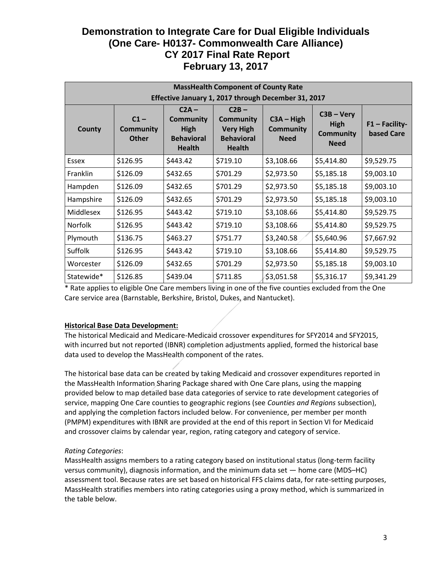| <b>MassHealth Component of County Rate</b>          |                                            |                                                                                  |                                                                                       |                                                 |                                                         |                                |
|-----------------------------------------------------|--------------------------------------------|----------------------------------------------------------------------------------|---------------------------------------------------------------------------------------|-------------------------------------------------|---------------------------------------------------------|--------------------------------|
| Effective January 1, 2017 through December 31, 2017 |                                            |                                                                                  |                                                                                       |                                                 |                                                         |                                |
| County                                              | $C1 -$<br><b>Community</b><br><b>Other</b> | $C2A -$<br><b>Community</b><br><b>High</b><br><b>Behavioral</b><br><b>Health</b> | $C2B -$<br><b>Community</b><br><b>Very High</b><br><b>Behavioral</b><br><b>Health</b> | $C3A - High$<br><b>Community</b><br><b>Need</b> | $C3B - Very$<br>High<br><b>Community</b><br><b>Need</b> | $F1 - Facility-$<br>based Care |
| Essex                                               | \$126.95                                   | \$443.42                                                                         | \$719.10                                                                              | \$3,108.66                                      | \$5,414.80                                              | \$9,529.75                     |
| Franklin                                            | \$126.09                                   | \$432.65                                                                         | \$701.29                                                                              | \$2,973.50                                      | \$5,185.18                                              | \$9,003.10                     |
| Hampden                                             | \$126.09                                   | \$432.65                                                                         | \$701.29                                                                              | \$2,973.50                                      | \$5,185.18                                              | \$9,003.10                     |
| Hampshire                                           | \$126.09                                   | \$432.65                                                                         | \$701.29                                                                              | \$2,973.50                                      | \$5,185.18                                              | \$9,003.10                     |
| Middlesex                                           | \$126.95                                   | \$443.42                                                                         | \$719.10                                                                              | \$3,108.66                                      | \$5,414.80                                              | \$9,529.75                     |
| <b>Norfolk</b>                                      | \$126.95                                   | \$443.42                                                                         | \$719.10                                                                              | \$3,108.66                                      | \$5,414.80                                              | \$9,529.75                     |
| Plymouth                                            | \$136.75                                   | \$463.27                                                                         | \$751.77                                                                              | \$3,240.58                                      | \$5,640.96                                              | \$7,667.92                     |
| <b>Suffolk</b>                                      | \$126.95                                   | \$443.42                                                                         | \$719.10                                                                              | \$3,108.66                                      | \$5,414.80                                              | \$9,529.75                     |
| Worcester                                           | \$126.09                                   | \$432.65                                                                         | \$701.29                                                                              | \$2,973.50                                      | \$5,185.18                                              | \$9,003.10                     |
| Statewide*                                          | \$126.85                                   | \$439.04                                                                         | \$711.85                                                                              | \$3,051.58                                      | \$5,316.17                                              | \$9,341.29                     |

\* Rate applies to eligible One Care members living in one of the five counties excluded from the One Care service area (Barnstable, Berkshire, Bristol, Dukes, and Nantucket).

## **Historical Base Data Development:**

The historical Medicaid and Medicare-Medicaid crossover expenditures for SFY2014 and SFY2015, with incurred but not reported (IBNR) completion adjustments applied, formed the historical base data used to develop the MassHealth component of the rates.

The historical base data can be created by taking Medicaid and crossover expenditures reported in the MassHealth Information Sharing Package shared with One Care plans, using the mapping provided below to map detailed base data categories of service to rate development categories of service, mapping One Care counties to geographic regions (see *Counties and Regions* subsection), and applying the completion factors included below. For convenience, per member per month (PMPM) expenditures with IBNR are provided at the end of this report in Section VI for Medicaid and crossover claims by calendar year, region, rating category and category of service.

#### *Rating Categories*:

MassHealth assigns members to a rating category based on institutional status (long-term facility versus community), diagnosis information, and the minimum data set — home care (MDS–HC) assessment tool. Because rates are set based on historical FFS claims data, for rate-setting purposes, MassHealth stratifies members into rating categories using a proxy method, which is summarized in the table below.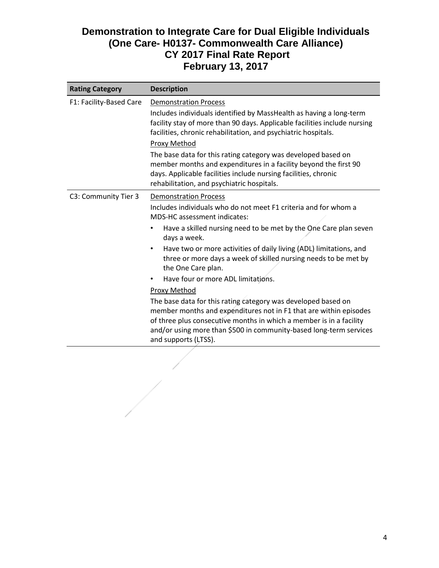| <b>Rating Category</b>  | <b>Description</b>                                                                                                                                                                                                                                                                                                                                                                                                                                                                                                                                                                                                                                                                                                                                                    |
|-------------------------|-----------------------------------------------------------------------------------------------------------------------------------------------------------------------------------------------------------------------------------------------------------------------------------------------------------------------------------------------------------------------------------------------------------------------------------------------------------------------------------------------------------------------------------------------------------------------------------------------------------------------------------------------------------------------------------------------------------------------------------------------------------------------|
| F1: Facility-Based Care | <b>Demonstration Process</b><br>Includes individuals identified by MassHealth as having a long-term<br>facility stay of more than 90 days. Applicable facilities include nursing<br>facilities, chronic rehabilitation, and psychiatric hospitals.<br>Proxy Method<br>The base data for this rating category was developed based on<br>member months and expenditures in a facility beyond the first 90<br>days. Applicable facilities include nursing facilities, chronic<br>rehabilitation, and psychiatric hospitals.                                                                                                                                                                                                                                              |
| C3: Community Tier 3    | <b>Demonstration Process</b><br>Includes individuals who do not meet F1 criteria and for whom a<br>MDS-HC assessment indicates:<br>Have a skilled nursing need to be met by the One Care plan seven<br>٠<br>days a week.<br>Have two or more activities of daily living (ADL) limitations, and<br>$\bullet$<br>three or more days a week of skilled nursing needs to be met by<br>the One Care plan.<br>Have four or more ADL limitations.<br>Proxy Method<br>The base data for this rating category was developed based on<br>member months and expenditures not in F1 that are within episodes<br>of three plus consecutive months in which a member is in a facility<br>and/or using more than \$500 in community-based long-term services<br>and supports (LTSS). |

 $\frac{1}{\sqrt{2}}$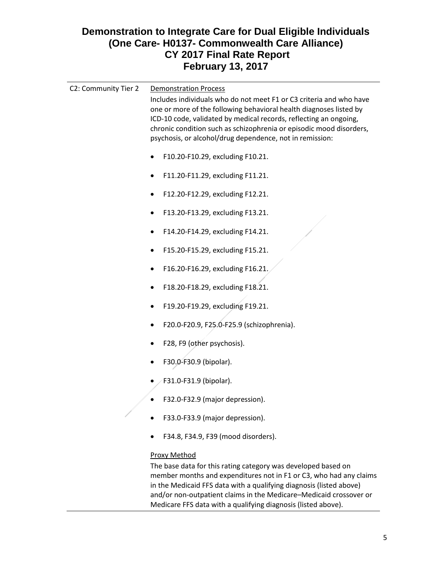| C2: Community Tier 2 | <b>Demonstration Process</b><br>Includes individuals who do not meet F1 or C3 criteria and who have<br>one or more of the following behavioral health diagnoses listed by<br>ICD-10 code, validated by medical records, reflecting an ongoing,<br>chronic condition such as schizophrenia or episodic mood disorders,<br>psychosis, or alcohol/drug dependence, not in remission: |
|----------------------|-----------------------------------------------------------------------------------------------------------------------------------------------------------------------------------------------------------------------------------------------------------------------------------------------------------------------------------------------------------------------------------|
|                      | F10.20-F10.29, excluding F10.21.                                                                                                                                                                                                                                                                                                                                                  |
|                      | F11.20-F11.29, excluding F11.21.                                                                                                                                                                                                                                                                                                                                                  |
|                      | F12.20-F12.29, excluding F12.21.                                                                                                                                                                                                                                                                                                                                                  |
|                      | F13.20-F13.29, excluding F13.21.                                                                                                                                                                                                                                                                                                                                                  |
|                      | F14.20-F14.29, excluding F14.21.                                                                                                                                                                                                                                                                                                                                                  |
|                      | F15.20-F15.29, excluding F15.21.                                                                                                                                                                                                                                                                                                                                                  |
|                      | F16.20-F16.29, excluding F16.21.                                                                                                                                                                                                                                                                                                                                                  |
|                      | F18.20-F18.29, excluding F18.21.                                                                                                                                                                                                                                                                                                                                                  |
|                      | F19.20-F19.29, excluding F19.21.                                                                                                                                                                                                                                                                                                                                                  |
|                      | F20.0-F20.9, F25.0-F25.9 (schizophrenia).                                                                                                                                                                                                                                                                                                                                         |
|                      | F28, F9 (other psychosis).                                                                                                                                                                                                                                                                                                                                                        |
|                      | F30.0-F30.9 (bipolar).                                                                                                                                                                                                                                                                                                                                                            |
|                      | F31.0-F31.9 (bipolar).                                                                                                                                                                                                                                                                                                                                                            |
|                      | F32.0-F32.9 (major depression).                                                                                                                                                                                                                                                                                                                                                   |
|                      | F33.0-F33.9 (major depression).                                                                                                                                                                                                                                                                                                                                                   |
|                      | F34.8, F34.9, F39 (mood disorders).                                                                                                                                                                                                                                                                                                                                               |
|                      | <b>Proxy Method</b><br>The base data for this rating category was developed based on<br>member months and expenditures not in F1 or C3, who had any claims                                                                                                                                                                                                                        |

in the Medicaid FFS data with a qualifying diagnosis (listed above) and/or non-outpatient claims in the Medicare–Medicaid crossover or Medicare FFS data with a qualifying diagnosis (listed above).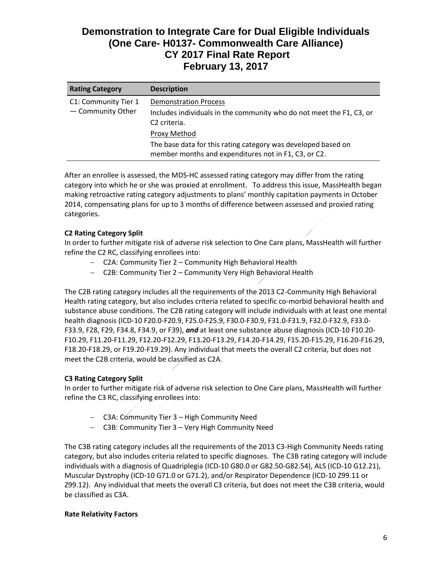| <b>Rating Category</b>                    | <b>Description</b>                                                                                                               |
|-------------------------------------------|----------------------------------------------------------------------------------------------------------------------------------|
| C1: Community Tier 1<br>- Community Other | <b>Demonstration Process</b><br>Includes individuals in the community who do not meet the F1, C3, or<br>C <sub>2</sub> criteria. |
|                                           | Proxy Method                                                                                                                     |
|                                           | The base data for this rating category was developed based on<br>member months and expenditures not in F1, C3, or C2.            |

After an enrollee is assessed, the MDS-HC assessed rating category may differ from the rating category into which he or she was proxied at enrollment. To address this issue, MassHealth began making retroactive rating category adjustments to plans' monthly capitation payments in October 2014, compensating plans for up to 3 months of difference between assessed and proxied rating categories.

## **C2 Rating Category Split**

In order to further mitigate risk of adverse risk selection to One Care plans, MassHealth will further refine the C2 RC, classifying enrollees into:

- C2A: Community Tier 2 Community High Behavioral Health
- C2B: Community Tier 2 Community Very High Behavioral Health

The C2B rating category includes all the requirements of the 2013 C2-Community High Behavioral Health rating category, but also includes criteria related to specific co-morbid behavioral health and substance abuse conditions. The C2B rating category will include individuals with at least one mental health diagnosis (ICD-10 F20.0-F20.9, F25.0-F25.9, F30.0-F30.9, F31.0-F31.9, F32.0-F32.9, F33.0- F33.9, F28, F29, F34.8, F34.9, or F39), *and* at least one substance abuse diagnosis (ICD-10 F10.20- F10.29, F11.20-F11.29, F12.20-F12.29, F13.20-F13.29, F14.20-F14.29, F15.20-F15.29, F16.20-F16.29, F18.20-F18.29, or F19.20-F19.29). Any individual that meets the overall C2 criteria, but does not meet the C2B criteria, would be classified as C2A.

## **C3 Rating Category Split**

In order to further mitigate risk of adverse risk selection to One Care plans, MassHealth will further refine the C3 RC, classifying enrollees into:

- C3A: Community Tier 3 High Community Need
- C3B: Community Tier 3 Very High Community Need

The C3B rating category includes all the requirements of the 2013 C3-High Community Needs rating category, but also includes criteria related to specific diagnoses. The C3B rating category will include individuals with a diagnosis of Quadriplegia (ICD-10 G80.0 or G82.50-G82.54), ALS (ICD-10 G12.21), Muscular Dystrophy (ICD-10 G71.0 or G71.2), and/or Respirator Dependence (ICD-10 Z99.11 or Z99.12). Any individual that meets the overall C3 criteria, but does not meet the C3B criteria, would be classified as C3A.

#### **Rate Relativity Factors**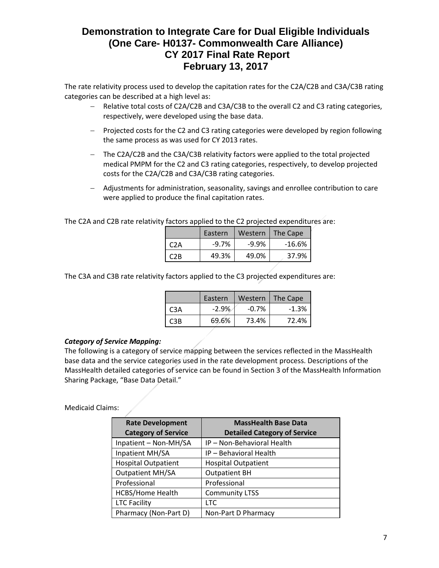The rate relativity process used to develop the capitation rates for the C2A/C2B and C3A/C3B rating categories can be described at a high level as:

- Relative total costs of C2A/C2B and C3A/C3B to the overall C2 and C3 rating categories, respectively, were developed using the base data.
- Projected costs for the C2 and C3 rating categories were developed by region following the same process as was used for CY 2013 rates.
- The C2A/C2B and the C3A/C3B relativity factors were applied to the total projected medical PMPM for the C2 and C3 rating categories, respectively, to develop projected costs for the C2A/C2B and C3A/C3B rating categories.
- Adjustments for administration, seasonality, savings and enrollee contribution to care were applied to produce the final capitation rates.

The C2A and C2B rate relativity factors applied to the C2 projected expenditures are:

|      | Eastern  | Western  | The Cape |
|------|----------|----------|----------|
| C2A  | $-9.7\%$ | $-9.9\%$ | $-16.6%$ |
| C2B. | 49.3%    | 49.0%    | 37.9%    |

The C3A and C3B rate relativity factors applied to the C3 projected expenditures are:

|     | Eastern | Western  | The Cape |
|-----|---------|----------|----------|
| C3A | $-2.9%$ | $-0.7\%$ | $-1.3%$  |
| CRR | 69.6%   | 73.4%    | 72.4%    |

## *Category of Service Mapping:*

The following is a category of service mapping between the services reflected in the MassHealth base data and the service categories used in the rate development process. Descriptions of the MassHealth detailed categories of service can be found in Section 3 of the MassHealth Information Sharing Package, "Base Data Detail."

#### Medicaid Claims:

| <b>Rate Development</b><br><b>Category of Service</b> | <b>MassHealth Base Data</b><br><b>Detailed Category of Service</b> |
|-------------------------------------------------------|--------------------------------------------------------------------|
| Inpatient - Non-MH/SA                                 | IP - Non-Behavioral Health                                         |
| Inpatient MH/SA                                       | IP - Behavioral Health                                             |
| <b>Hospital Outpatient</b>                            | <b>Hospital Outpatient</b>                                         |
| <b>Outpatient MH/SA</b>                               | <b>Outpatient BH</b>                                               |
| Professional                                          | Professional                                                       |
| <b>HCBS/Home Health</b>                               | <b>Community LTSS</b>                                              |
| <b>LTC Facility</b>                                   | LTC                                                                |
| Pharmacy (Non-Part D)                                 | Non-Part D Pharmacy                                                |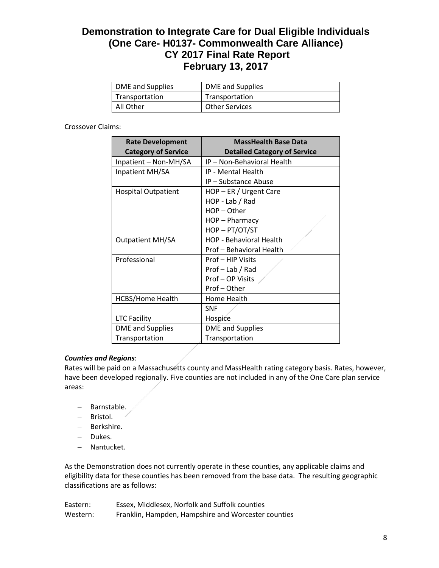| DME and Supplies | <b>DME</b> and Supplies |
|------------------|-------------------------|
| Transportation   | Transportation          |
| All Other        | <b>Other Services</b>   |

Crossover Claims:

| <b>Rate Development</b><br><b>Category of Service</b> | <b>MassHealth Base Data</b><br><b>Detailed Category of Service</b> |  |  |  |
|-------------------------------------------------------|--------------------------------------------------------------------|--|--|--|
| Inpatient - Non-MH/SA                                 | IP - Non-Behavioral Health                                         |  |  |  |
| Inpatient MH/SA                                       | IP - Mental Health                                                 |  |  |  |
|                                                       | IP - Substance Abuse                                               |  |  |  |
| <b>Hospital Outpatient</b>                            | HOP - ER / Urgent Care                                             |  |  |  |
|                                                       | HOP - Lab / Rad                                                    |  |  |  |
|                                                       | $HOP - Other$                                                      |  |  |  |
|                                                       | HOP - Pharmacy                                                     |  |  |  |
|                                                       | HOP-PT/OT/ST                                                       |  |  |  |
| <b>Outpatient MH/SA</b>                               | <b>HOP - Behavioral Health</b>                                     |  |  |  |
|                                                       | Prof - Behavioral Health                                           |  |  |  |
| Professional                                          | Prof - HIP Visits                                                  |  |  |  |
|                                                       | Prof - Lab / Rad                                                   |  |  |  |
|                                                       | Prof-OP Visits                                                     |  |  |  |
|                                                       | Prof-Other                                                         |  |  |  |
| <b>HCBS/Home Health</b>                               | Home Health                                                        |  |  |  |
|                                                       | <b>SNF</b>                                                         |  |  |  |
| <b>LTC Facility</b>                                   | Hospice                                                            |  |  |  |
| <b>DME</b> and Supplies                               | <b>DME</b> and Supplies                                            |  |  |  |
| Transportation                                        | Transportation                                                     |  |  |  |

## *Counties and Regions*:

Rates will be paid on a Massachusetts county and MassHealth rating category basis. Rates, however, have been developed regionally. Five counties are not included in any of the One Care plan service areas:

- Barnstable.
- Bristol.
- Berkshire.
- Dukes.
- Nantucket.

As the Demonstration does not currently operate in these counties, any applicable claims and eligibility data for these counties has been removed from the base data. The resulting geographic classifications are as follows:

| Eastern: | Essex, Middlesex, Norfolk and Suffolk counties      |
|----------|-----------------------------------------------------|
| Western: | Franklin, Hampden, Hampshire and Worcester counties |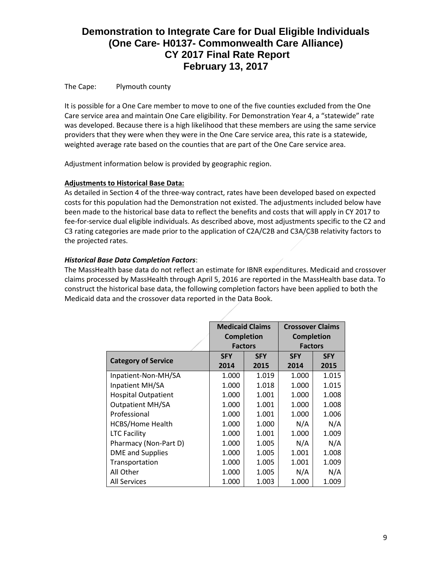### The Cape: Plymouth county

It is possible for a One Care member to move to one of the five counties excluded from the One Care service area and maintain One Care eligibility. For Demonstration Year 4, a "statewide" rate was developed. Because there is a high likelihood that these members are using the same service providers that they were when they were in the One Care service area, this rate is a statewide, weighted average rate based on the counties that are part of the One Care service area.

Adjustment information below is provided by geographic region.

### **Adjustments to Historical Base Data:**

As detailed in Section 4 of the three-way contract, rates have been developed based on expected costs for this population had the Demonstration not existed. The adjustments included below have been made to the historical base data to reflect the benefits and costs that will apply in CY 2017 to fee-for-service dual eligible individuals. As described above, most adjustments specific to the C2 and C3 rating categories are made prior to the application of C2A/C2B and C3A/C3B relativity factors to the projected rates.

### *Historical Base Data Completion Factors*:

The MassHealth base data do not reflect an estimate for IBNR expenditures. Medicaid and crossover claims processed by MassHealth through April 5, 2016 are reported in the MassHealth base data. To construct the historical base data, the following completion factors have been applied to both the Medicaid data and the crossover data reported in the Data Book.

|                            | <b>Medicaid Claims</b> |                | <b>Crossover Claims</b> |            |
|----------------------------|------------------------|----------------|-------------------------|------------|
|                            | <b>Completion</b>      |                | <b>Completion</b>       |            |
|                            |                        | <b>Factors</b> | <b>Factors</b>          |            |
|                            | <b>SFY</b>             | <b>SFY</b>     | <b>SFY</b>              | <b>SFY</b> |
| <b>Category of Service</b> | 2014                   | 2015           | 2014                    | 2015       |
| Inpatient-Non-MH/SA        | 1.000                  | 1.019          | 1.000                   | 1.015      |
| Inpatient MH/SA            | 1.000                  | 1.018          | 1.000                   | 1.015      |
| <b>Hospital Outpatient</b> | 1.000                  | 1.001          | 1.000                   | 1.008      |
| <b>Outpatient MH/SA</b>    | 1.000                  | 1.001          | 1.000                   | 1.008      |
| Professional               | 1.000                  | 1.001          | 1.000                   | 1.006      |
| <b>HCBS/Home Health</b>    | 1.000                  | 1.000          | N/A                     | N/A        |
| <b>LTC Facility</b>        | 1.000                  | 1.001          | 1.000                   | 1.009      |
| Pharmacy (Non-Part D)      | 1.000                  | 1.005          | N/A                     | N/A        |
| <b>DME</b> and Supplies    | 1.000                  | 1.005          | 1.001                   | 1.008      |
| Transportation             | 1.000                  | 1.005          | 1.001                   | 1.009      |
| All Other                  | 1.000                  | 1.005          | N/A                     | N/A        |
| All Services               | 1.000                  | 1.003          | 1.000                   | 1.009      |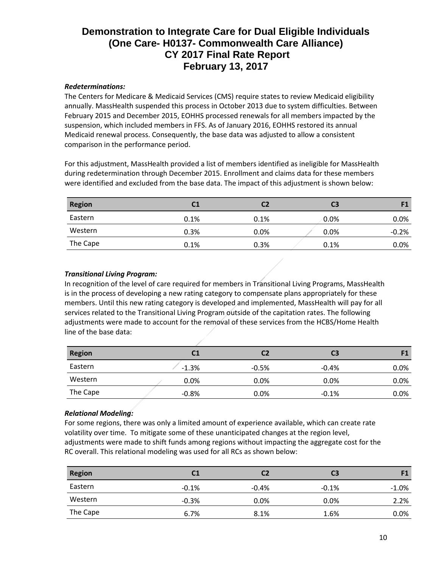## *Redeterminations:*

The Centers for Medicare & Medicaid Services (CMS) require states to review Medicaid eligibility annually. MassHealth suspended this process in October 2013 due to system difficulties. Between February 2015 and December 2015, EOHHS processed renewals for all members impacted by the suspension, which included members in FFS. As of January 2016, EOHHS restored its annual Medicaid renewal process. Consequently, the base data was adjusted to allow a consistent comparison in the performance period.

For this adjustment, MassHealth provided a list of members identified as ineligible for MassHealth during redetermination through December 2015. Enrollment and claims data for these members were identified and excluded from the base data. The impact of this adjustment is shown below:

| <b>Region</b> | C <sub>1</sub> | C2   | C <sub>3</sub> | F1      |
|---------------|----------------|------|----------------|---------|
| Eastern       | 0.1%           | 0.1% | 0.0%           | $0.0\%$ |
| Western       | 0.3%           | 0.0% | $0.0\%$        | $-0.2%$ |
| The Cape      | 0.1%           | 0.3% | 0.1%           | $0.0\%$ |

### *Transitional Living Program:*

In recognition of the level of care required for members in Transitional Living Programs, MassHealth is in the process of developing a new rating category to compensate plans appropriately for these members. Until this new rating category is developed and implemented, MassHealth will pay for all services related to the Transitional Living Program outside of the capitation rates. The following adjustments were made to account for the removal of these services from the HCBS/Home Health line of the base data:

| <b>Region</b> | C1      |         | C3      |         |
|---------------|---------|---------|---------|---------|
| Eastern       | $-1.3%$ | $-0.5%$ | $-0.4%$ | $0.0\%$ |
| Western       | 0.0%    | $0.0\%$ | 0.0%    | $0.0\%$ |
| The Cape      | $-0.8%$ | $0.0\%$ | $-0.1%$ | $0.0\%$ |

## *Relational Modeling:*

For some regions, there was only a limited amount of experience available, which can create rate volatility over time. To mitigate some of these unanticipated changes at the region level, adjustments were made to shift funds among regions without impacting the aggregate cost for the RC overall. This relational modeling was used for all RCs as shown below:

| <b>Region</b> | C1      | C2      | C3      | F1       |
|---------------|---------|---------|---------|----------|
| Eastern       | $-0.1%$ | $-0.4%$ | $-0.1%$ | $-1.0\%$ |
| Western       | $-0.3%$ | 0.0%    | 0.0%    | 2.2%     |
| The Cape      | 6.7%    | 8.1%    | 1.6%    | $0.0\%$  |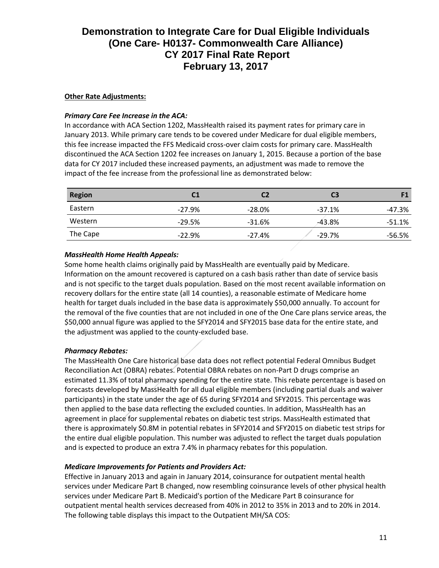### **Other Rate Adjustments:**

#### *Primary Care Fee Increase in the ACA:*

In accordance with ACA Section 1202, MassHealth raised its payment rates for primary care in January 2013. While primary care tends to be covered under Medicare for dual eligible members, this fee increase impacted the FFS Medicaid cross-over claim costs for primary care. MassHealth discontinued the ACA Section 1202 fee increases on January 1, 2015. Because a portion of the base data for CY 2017 included these increased payments, an adjustment was made to remove the impact of the fee increase from the professional line as demonstrated below:

| <b>Region</b> | C1       | C2       | C <sub>3</sub> | F1       |
|---------------|----------|----------|----------------|----------|
| Eastern       | $-27.9%$ | $-28.0%$ | $-37.1%$       | -47.3%   |
| Western       | $-29.5%$ | $-31.6%$ | $-43.8%$       | $-51.1%$ |
| The Cape      | $-22.9%$ | $-27.4%$ | $-29.7%$       | -56.5%   |

## *MassHealth Home Health Appeals:*

Some home health claims originally paid by MassHealth are eventually paid by Medicare. Information on the amount recovered is captured on a cash basis rather than date of service basis and is not specific to the target duals population. Based on the most recent available information on recovery dollars for the entire state (all 14 counties), a reasonable estimate of Medicare home health for target duals included in the base data is approximately \$50,000 annually. To account for the removal of the five counties that are not included in one of the One Care plans service areas, the \$50,000 annual figure was applied to the SFY2014 and SFY2015 base data for the entire state, and the adjustment was applied to the county-excluded base.

#### *Pharmacy Rebates:*

The MassHealth One Care historical base data does not reflect potential Federal Omnibus Budget Reconciliation Act (OBRA) rebates. Potential OBRA rebates on non-Part D drugs comprise an estimated 11.3% of total pharmacy spending for the entire state. This rebate percentage is based on forecasts developed by MassHealth for all dual eligible members (including partial duals and waiver participants) in the state under the age of 65 during SFY2014 and SFY2015. This percentage was then applied to the base data reflecting the excluded counties. In addition, MassHealth has an agreement in place for supplemental rebates on diabetic test strips. MassHealth estimated that there is approximately \$0.8M in potential rebates in SFY2014 and SFY2015 on diabetic test strips for the entire dual eligible population. This number was adjusted to reflect the target duals population and is expected to produce an extra 7.4% in pharmacy rebates for this population.

## *Medicare Improvements for Patients and Providers Act:*

Effective in January 2013 and again in January 2014, coinsurance for outpatient mental health services under Medicare Part B changed, now resembling coinsurance levels of other physical health services under Medicare Part B. Medicaid's portion of the Medicare Part B coinsurance for outpatient mental health services decreased from 40% in 2012 to 35% in 2013 and to 20% in 2014. The following table displays this impact to the Outpatient MH/SA COS: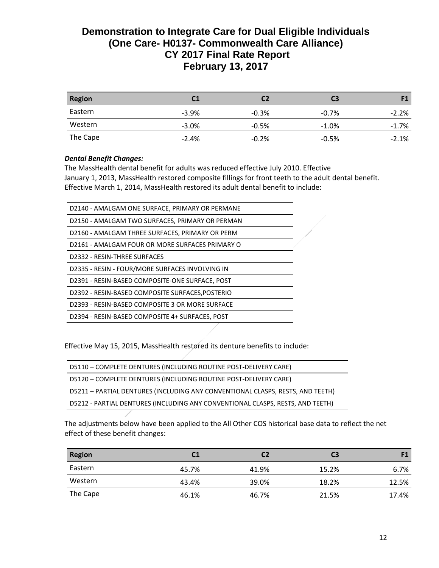| <b>Region</b> | C1      | C2      | C <sub>3</sub> | F1       |
|---------------|---------|---------|----------------|----------|
| Eastern       | $-3.9%$ | $-0.3%$ | $-0.7\%$       | $-2.2%$  |
| Western       | $-3.0%$ | $-0.5%$ | $-1.0%$        | $-1.7\%$ |
| The Cape      | $-2.4%$ | $-0.2%$ | $-0.5%$        | $-2.1%$  |

### *Dental Benefit Changes:*

The MassHealth dental benefit for adults was reduced effective July 2010. Effective January 1, 2013, MassHealth restored composite fillings for front teeth to the adult dental benefit. Effective March 1, 2014, MassHealth restored its adult dental benefit to include:

| D2140 - AMALGAM ONE SURFACE, PRIMARY OR PERMANE |  |
|-------------------------------------------------|--|
| D2150 - AMALGAM TWO SURFACES, PRIMARY OR PERMAN |  |
| D2160 - AMALGAM THREE SURFACES, PRIMARY OR PERM |  |
| D2161 - AMALGAM FOUR OR MORE SURFACES PRIMARY O |  |
| D2332 - RESIN-THREE SURFACES                    |  |
| D2335 - RESIN - FOUR/MORE SURFACES INVOLVING IN |  |
| D2391 - RESIN-BASED COMPOSITE-ONE SURFACE, POST |  |
| D2392 - RESIN-BASED COMPOSITE SURFACES.POSTERIO |  |
| D2393 - RESIN-BASED COMPOSITE 3 OR MORE SURFACE |  |
| D2394 - RESIN-BASED COMPOSITE 4+ SURFACES, POST |  |
|                                                 |  |

Effective May 15, 2015, MassHealth restored its denture benefits to include:

| D5110 - COMPLETE DENTURES (INCLUDING ROUTINE POST-DELIVERY CARE)               |
|--------------------------------------------------------------------------------|
| D5120 - COMPLETE DENTURES (INCLUDING ROUTINE POST-DELIVERY CARE)               |
| D5211 - PARTIAL DENTURES (INCLUDING ANY CONVENTIONAL CLASPS, RESTS, AND TEETH) |
| D5212 - PARTIAL DENTURES (INCLUDING ANY CONVENTIONAL CLASPS, RESTS, AND TEETH) |

The adjustments below have been applied to the All Other COS historical base data to reflect the net effect of these benefit changes:

| <b>Region</b> | C1    | C2    | C <sub>3</sub> | F1    |
|---------------|-------|-------|----------------|-------|
| Eastern       | 45.7% | 41.9% | 15.2%          | 6.7%  |
| Western       | 43.4% | 39.0% | 18.2%          | 12.5% |
| The Cape      | 46.1% | 46.7% | 21.5%          | 17.4% |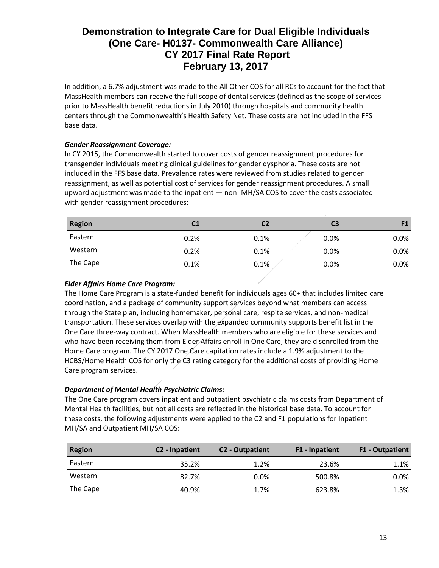In addition, a 6.7% adjustment was made to the All Other COS for all RCs to account for the fact that MassHealth members can receive the full scope of dental services (defined as the scope of services prior to MassHealth benefit reductions in July 2010) through hospitals and community health centers through the Commonwealth's Health Safety Net. These costs are not included in the FFS base data.

## *Gender Reassignment Coverage:*

In CY 2015, the Commonwealth started to cover costs of gender reassignment procedures for transgender individuals meeting clinical guidelines for gender dysphoria. These costs are not included in the FFS base data. Prevalence rates were reviewed from studies related to gender reassignment, as well as potential cost of services for gender reassignment procedures. A small upward adjustment was made to the inpatient — non- MH/SA COS to cover the costs associated with gender reassignment procedures:

| <b>Region</b> | C1   | C2   | C3      | F1   |
|---------------|------|------|---------|------|
| Eastern       | 0.2% | 0.1% | 0.0%    | 0.0% |
| Western       | 0.2% | 0.1% | $0.0\%$ | 0.0% |
| The Cape      | 0.1% | 0.1% | 0.0%    | 0.0% |

### *Elder Affairs Home Care Program:*

The Home Care Program is a state-funded benefit for individuals ages 60+ that includes limited care coordination, and a package of community support services beyond what members can access through the State plan, including homemaker, personal care, respite services, and non-medical transportation. These services overlap with the expanded community supports benefit list in the One Care three-way contract. When MassHealth members who are eligible for these services and who have been receiving them from Elder Affairs enroll in One Care, they are disenrolled from the Home Care program. The CY 2017 One Care capitation rates include a 1.9% adjustment to the HCBS/Home Health COS for only the C3 rating category for the additional costs of providing Home Care program services.

## *Department of Mental Health Psychiatric Claims:*

The One Care program covers inpatient and outpatient psychiatric claims costs from Department of Mental Health facilities, but not all costs are reflected in the historical base data. To account for these costs, the following adjustments were applied to the C2 and F1 populations for Inpatient MH/SA and Outpatient MH/SA COS:

| <b>Region</b> | C <sub>2</sub> - Inpatient | C <sub>2</sub> - Outpatient | F1 - Inpatient | <b>F1 - Outpatient</b> |
|---------------|----------------------------|-----------------------------|----------------|------------------------|
| Eastern       | 35.2%                      | 1.2%                        | 23.6%          | 1.1%                   |
| Western       | 82.7%                      | 0.0%                        | 500.8%         | 0.0%                   |
| The Cape      | 40.9%                      | 1.7%                        | 623.8%         | 1.3%                   |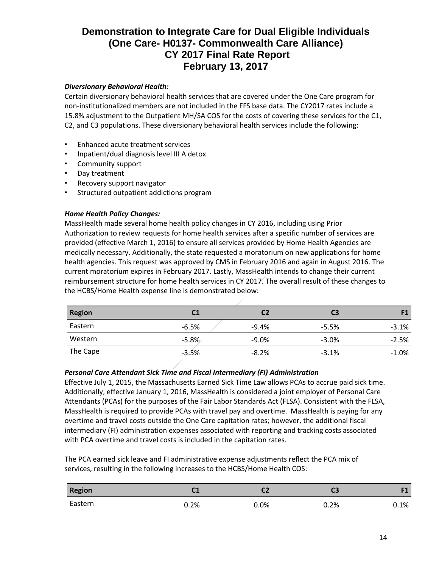## *Diversionary Behavioral Health:*

Certain diversionary behavioral health services that are covered under the One Care program for non-institutionalized members are not included in the FFS base data. The CY2017 rates include a 15.8% adjustment to the Outpatient MH/SA COS for the costs of covering these services for the C1, C2, and C3 populations. These diversionary behavioral health services include the following:

- Enhanced acute treatment services
- Inpatient/dual diagnosis level III A detox
- Community support
- Day treatment
- Recovery support navigator
- Structured outpatient addictions program

## *Home Health Policy Changes:*

MassHealth made several home health policy changes in CY 2016, including using Prior Authorization to review requests for home health services after a specific number of services are provided (effective March 1, 2016) to ensure all services provided by Home Health Agencies are medically necessary. Additionally, the state requested a moratorium on new applications for home health agencies. This request was approved by CMS in February 2016 and again in August 2016. The current moratorium expires in February 2017. Lastly, MassHealth intends to change their current reimbursement structure for home health services in CY 2017. The overall result of these changes to the HCBS/Home Health expense line is demonstrated below:

| <b>Region</b> | C1      | C2      | C <sub>3</sub> |          |
|---------------|---------|---------|----------------|----------|
| Eastern       | $-6.5%$ | $-9.4%$ | $-5.5%$        | $-3.1%$  |
| Western       | $-5.8%$ | $-9.0%$ | $-3.0%$        | $-2.5%$  |
| The Cape      | $-3.5%$ | $-8.2%$ | $-3.1%$        | $-1.0\%$ |

## *Personal Care Attendant Sick Time and Fiscal Intermediary (FI) Administration*

Effective July 1, 2015, the Massachusetts Earned Sick Time Law allows PCAs to accrue paid sick time. Additionally, effective January 1, 2016, MassHealth is considered a joint employer of Personal Care Attendants (PCAs) for the purposes of the Fair Labor Standards Act (FLSA). Consistent with the FLSA, MassHealth is required to provide PCAs with travel pay and overtime. MassHealth is paying for any overtime and travel costs outside the One Care capitation rates; however, the additional fiscal intermediary (FI) administration expenses associated with reporting and tracking costs associated with PCA overtime and travel costs is included in the capitation rates.

The PCA earned sick leave and FI administrative expense adjustments reflect the PCA mix of services, resulting in the following increases to the HCBS/Home Health COS:

| <b>Region</b> | <b>CA</b><br>ີ | ∽    | u    | гσ      |
|---------------|----------------|------|------|---------|
| Eastern       | $0.2\%$        | 0.0% | 0.2% | $0.1\%$ |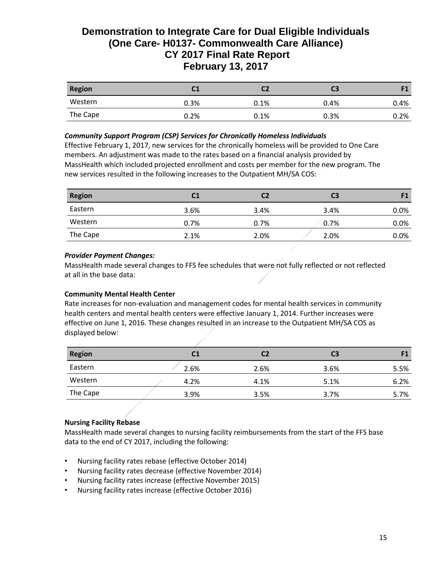| <b>Region</b> | C <sub>1</sub> | С2   | CЗ   |      |
|---------------|----------------|------|------|------|
| Western       | 0.3%           | 0.1% | 0.4% | 0.4% |
| The Cape      | 0.2%           | 0.1% | 0.3% | 0.2% |

#### *Community Support Program (CSP) Services for Chronically Homeless Individuals*

Effective February 1, 2017, new services for the chronically homeless will be provided to One Care members. An adjustment was made to the rates based on a financial analysis provided by MassHealth which included projected enrollment and costs per member for the new program. The new services resulted in the following increases to the Outpatient MH/SA COS:

| <b>Region</b> | C1   | C2   | C <sub>3</sub> | F1      |
|---------------|------|------|----------------|---------|
| Eastern       | 3.6% | 3.4% | 3.4%           | $0.0\%$ |
| Western       | 0.7% | 0.7% | 0.7%           | $0.0\%$ |
| The Cape      | 2.1% | 2.0% | 2.0%           | $0.0\%$ |

#### *Provider Payment Changes:*

MassHealth made several changes to FFS fee schedules that were not fully reflected or not reflected at all in the base data:

#### **Community Mental Health Center**

Rate increases for non-evaluation and management codes for mental health services in community health centers and mental health centers were effective January 1, 2014. Further increases were effective on June 1, 2016. These changes resulted in an increase to the Outpatient MH/SA COS as displayed below:

| <b>Region</b> | C1   | C2   | C <sub>3</sub> | 11   |
|---------------|------|------|----------------|------|
| Eastern       | 2.6% | 2.6% | 3.6%           | 5.5% |
| Western       | 4.2% | 4.1% | 5.1%           | 6.2% |
| The Cape      | 3.9% | 3.5% | 3.7%           | 5.7% |

## **Nursing Facility Rebase**

MassHealth made several changes to nursing facility reimbursements from the start of the FFS base data to the end of CY 2017, including the following:

- Nursing facility rates rebase (effective October 2014)
- Nursing facility rates decrease (effective November 2014)
- Nursing facility rates increase (effective November 2015)
- Nursing facility rates increase (effective October 2016)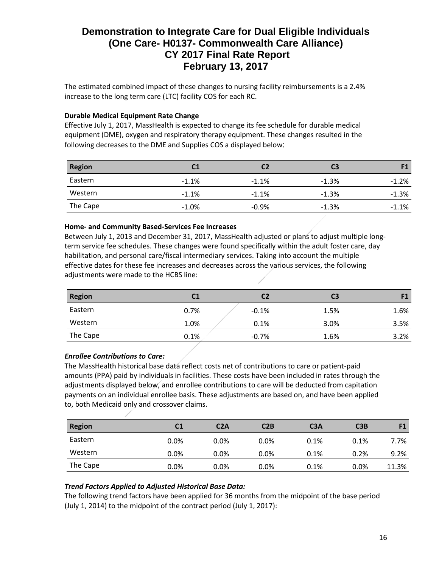The estimated combined impact of these changes to nursing facility reimbursements is a 2.4% increase to the long term care (LTC) facility COS for each RC.

### **Durable Medical Equipment Rate Change**

Effective July 1, 2017, MassHealth is expected to change its fee schedule for durable medical equipment (DME), oxygen and respiratory therapy equipment. These changes resulted in the following decreases to the DME and Supplies COS a displayed below:

| <b>Region</b> | C <sub>1</sub> |         | C <sub>3</sub> |         |
|---------------|----------------|---------|----------------|---------|
| Eastern       | $-1.1%$        | $-1.1%$ | $-1.3%$        | $-1.2%$ |
| Western       | $-1.1%$        | $-1.1%$ | $-1.3%$        | $-1.3%$ |
| The Cape      | $-1.0%$        | $-0.9%$ | $-1.3%$        | $-1.1%$ |

#### **Home- and Community Based-Services Fee Increases**

Between July 1, 2013 and December 31, 2017, MassHealth adjusted or plans to adjust multiple longterm service fee schedules. These changes were found specifically within the adult foster care, day habilitation, and personal care/fiscal intermediary services. Taking into account the multiple effective dates for these fee increases and decreases across the various services, the following adjustments were made to the HCBS line:

| <b>Region</b> | C1   | C2      | C3   | F1   |
|---------------|------|---------|------|------|
| Eastern       | 0.7% | $-0.1%$ | 1.5% | 1.6% |
| Western       | 1.0% | 0.1%    | 3.0% | 3.5% |
| The Cape      | 0.1% | $-0.7%$ | 1.6% | 3.2% |

## *Enrollee Contributions to Care:*

The MassHealth historical base data reflect costs net of contributions to care or patient-paid amounts (PPA) paid by individuals in facilities. These costs have been included in rates through the adjustments displayed below, and enrollee contributions to care will be deducted from capitation payments on an individual enrollee basis. These adjustments are based on, and have been applied to, both Medicaid only and crossover claims.

| <b>Region</b> | C <sub>1</sub> | C <sub>2</sub> A | C2B     | C <sub>3</sub> A | C3B  | F1    |
|---------------|----------------|------------------|---------|------------------|------|-------|
| Eastern       | $0.0\%$        | $0.0\%$          | $0.0\%$ | 0.1%             | 0.1% | 7.7%  |
| Western       | $0.0\%$        | $0.0\%$          | $0.0\%$ | 0.1%             | 0.2% | 9.2%  |
| The Cape      | $0.0\%$        | $0.0\%$          | $0.0\%$ | 0.1%             | 0.0% | 11.3% |

## *Trend Factors Applied to Adjusted Historical Base Data:*

The following trend factors have been applied for 36 months from the midpoint of the base period (July 1, 2014) to the midpoint of the contract period (July 1, 2017):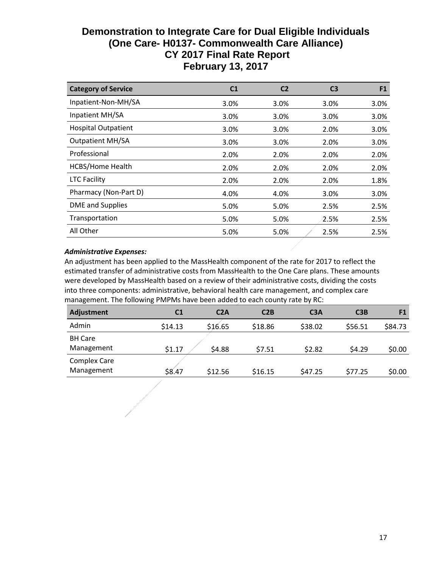| <b>Category of Service</b> | C1   | C <sub>2</sub> | C3   | F <sub>1</sub> |
|----------------------------|------|----------------|------|----------------|
| Inpatient-Non-MH/SA        | 3.0% | 3.0%           | 3.0% | 3.0%           |
| Inpatient MH/SA            | 3.0% | 3.0%           | 3.0% | 3.0%           |
| <b>Hospital Outpatient</b> | 3.0% | 3.0%           | 2.0% | 3.0%           |
| <b>Outpatient MH/SA</b>    | 3.0% | 3.0%           | 2.0% | 3.0%           |
| Professional               | 2.0% | 2.0%           | 2.0% | 2.0%           |
| <b>HCBS/Home Health</b>    | 2.0% | 2.0%           | 2.0% | 2.0%           |
| <b>LTC Facility</b>        | 2.0% | 2.0%           | 2.0% | 1.8%           |
| Pharmacy (Non-Part D)      | 4.0% | 4.0%           | 3.0% | 3.0%           |
| DME and Supplies           | 5.0% | 5.0%           | 2.5% | 2.5%           |
| Transportation             | 5.0% | 5.0%           | 2.5% | 2.5%           |
| All Other                  | 5.0% | 5.0%           | 2.5% | 2.5%           |

### *Administrative Expenses:*

An adjustment has been applied to the MassHealth component of the rate for 2017 to reflect the estimated transfer of administrative costs from MassHealth to the One Care plans. These amounts were developed by MassHealth based on a review of their administrative costs, dividing the costs into three components: administrative, behavioral health care management, and complex care management. The following PMPMs have been added to each county rate by RC:

| Adjustment          | C <sub>1</sub> | C2A     | C2B     | C <sub>3</sub> A | C3B     | F <sub>1</sub> |
|---------------------|----------------|---------|---------|------------------|---------|----------------|
| Admin               | \$14.13        | \$16.65 | \$18.86 | \$38.02          | \$56.51 | \$84.73        |
| <b>BH Care</b>      |                |         |         |                  |         |                |
| Management          | \$1.17         | \$4.88  | \$7.51  | \$2.82           | \$4.29  | \$0.00         |
| <b>Complex Care</b> |                |         |         |                  |         |                |
| Management          | \$8.47         | \$12.56 | \$16.15 | \$47.25          | \$77.25 | \$0.00         |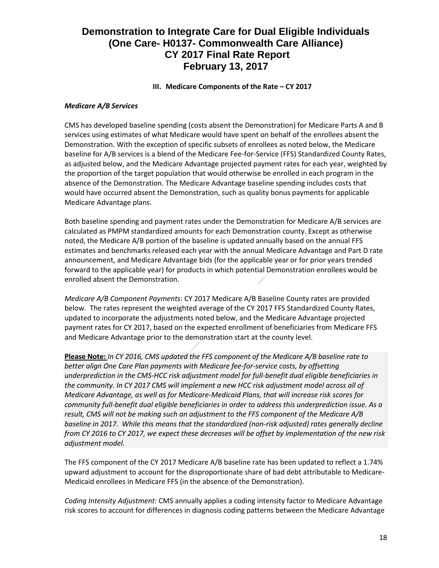### **III.** Medicare Components of the Rate – CY 2017

#### *Medicare A/B Services*

CMS has developed baseline spending (costs absent the Demonstration) for Medicare Parts A and B services using estimates of what Medicare would have spent on behalf of the enrollees absent the Demonstration. With the exception of specific subsets of enrollees as noted below, the Medicare baseline for A/B services is a blend of the Medicare Fee-for-Service (FFS) Standardized County Rates, as adjusted below, and the Medicare Advantage projected payment rates for each year, weighted by the proportion of the target population that would otherwise be enrolled in each program in the absence of the Demonstration. The Medicare Advantage baseline spending includes costs that would have occurred absent the Demonstration, such as quality bonus payments for applicable Medicare Advantage plans.

Both baseline spending and payment rates under the Demonstration for Medicare A/B services are calculated as PMPM standardized amounts for each Demonstration county. Except as otherwise noted, the Medicare A/B portion of the baseline is updated annually based on the annual FFS estimates and benchmarks released each year with the annual Medicare Advantage and Part D rate announcement, and Medicare Advantage bids (for the applicable year or for prior years trended forward to the applicable year) for products in which potential Demonstration enrollees would be enrolled absent the Demonstration.

*Medicare A/B Component Payments*: CY 2017 Medicare A/B Baseline County rates are provided below. The rates represent the weighted average of the CY 2017 FFS Standardized County Rates, updated to incorporate the adjustments noted below, and the Medicare Advantage projected payment rates for CY 2017, based on the expected enrollment of beneficiaries from Medicare FFS and Medicare Advantage prior to the demonstration start at the county level.

**Please Note:** *In CY 2016, CMS updated the FFS component of the Medicare A/B baseline rate to better align One Care Plan payments with Medicare fee-for-service costs, by offsetting underprediction in the CMS-HCC risk adjustment model for full-benefit dual eligible beneficiaries in the community. In CY 2017 CMS will implement a new HCC risk adjustment model across all of Medicare Advantage, as well as for Medicare-Medicaid Plans, that will increase risk scores for community full-benefit dual eligible beneficiaries in order to address this underprediction issue. As a result, CMS will not be making such an adjustment to the FFS component of the Medicare A/B baseline in 2017. While this means that the standardized (non-risk adjusted) rates generally decline from CY 2016 to CY 2017, we expect these decreases will be offset by implementation of the new risk adjustment model.*

The FFS component of the CY 2017 Medicare A/B baseline rate has been updated to reflect a 1.74% upward adjustment to account for the disproportionate share of bad debt attributable to Medicare-Medicaid enrollees in Medicare FFS (in the absence of the Demonstration).

*Coding Intensity Adjustment:* CMS annually applies a coding intensity factor to Medicare Advantage risk scores to account for differences in diagnosis coding patterns between the Medicare Advantage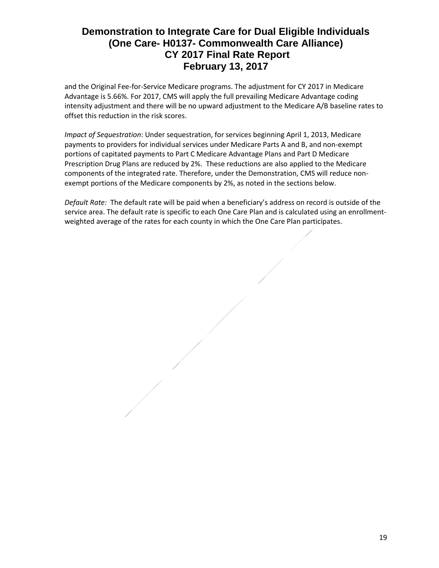and the Original Fee-for-Service Medicare programs. The adjustment for CY 2017 in Medicare Advantage is 5.66%. For 2017, CMS will apply the full prevailing Medicare Advantage coding intensity adjustment and there will be no upward adjustment to the Medicare A/B baseline rates to offset this reduction in the risk scores.

*Impact of Sequestration*: Under sequestration, for services beginning April 1, 2013, Medicare payments to providers for individual services under Medicare Parts A and B, and non-exempt portions of capitated payments to Part C Medicare Advantage Plans and Part D Medicare Prescription Drug Plans are reduced by 2%. These reductions are also applied to the Medicare components of the integrated rate. Therefore, under the Demonstration, CMS will reduce nonexempt portions of the Medicare components by 2%, as noted in the sections below.

*Default Rate:* The default rate will be paid when a beneficiary's address on record is outside of the service area. The default rate is specific to each One Care Plan and is calculated using an enrollmentweighted average of the rates for each county in which the One Care Plan participates.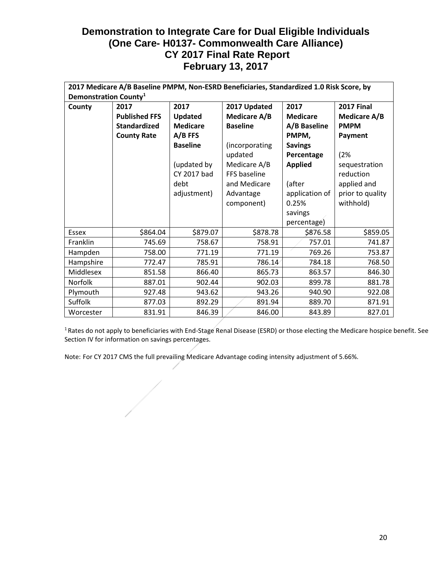|              | 2017 Medicare A/B Baseline PMPM, Non-ESRD Beneficiaries, Standardized 1.0 Risk Score, by |                 |                     |                 |                   |  |  |  |  |  |  |  |  |  |  |
|--------------|------------------------------------------------------------------------------------------|-----------------|---------------------|-----------------|-------------------|--|--|--|--|--|--|--|--|--|--|
|              | Demonstration County <sup>1</sup>                                                        |                 |                     |                 |                   |  |  |  |  |  |  |  |  |  |  |
| County       | 2017                                                                                     | 2017            | 2017 Updated        | 2017            | <b>2017 Final</b> |  |  |  |  |  |  |  |  |  |  |
|              | <b>Published FFS</b>                                                                     | Updated         | <b>Medicare A/B</b> | <b>Medicare</b> | Medicare A/B      |  |  |  |  |  |  |  |  |  |  |
|              | <b>Standardized</b>                                                                      | <b>Medicare</b> | <b>Baseline</b>     | A/B Baseline    | <b>PMPM</b>       |  |  |  |  |  |  |  |  |  |  |
|              | <b>County Rate</b>                                                                       | $A/B$ FFS       |                     | PMPM,           | Payment           |  |  |  |  |  |  |  |  |  |  |
|              |                                                                                          | <b>Baseline</b> | (incorporating      | <b>Savings</b>  |                   |  |  |  |  |  |  |  |  |  |  |
|              |                                                                                          |                 | updated             | Percentage      | (2%               |  |  |  |  |  |  |  |  |  |  |
|              |                                                                                          | (updated by     | Medicare A/B        | <b>Applied</b>  | sequestration     |  |  |  |  |  |  |  |  |  |  |
|              |                                                                                          | CY 2017 bad     | FFS baseline        |                 | reduction         |  |  |  |  |  |  |  |  |  |  |
|              |                                                                                          | debt            | and Medicare        | (after          | applied and       |  |  |  |  |  |  |  |  |  |  |
|              |                                                                                          | adjustment)     | Advantage           | application of  | prior to quality  |  |  |  |  |  |  |  |  |  |  |
|              |                                                                                          |                 | component)          | 0.25%           | withhold)         |  |  |  |  |  |  |  |  |  |  |
|              |                                                                                          |                 |                     | savings         |                   |  |  |  |  |  |  |  |  |  |  |
|              |                                                                                          |                 |                     | percentage)     |                   |  |  |  |  |  |  |  |  |  |  |
| <b>Essex</b> | \$864.04                                                                                 | \$879.07        | \$878.78            | \$876.58        | \$859.05          |  |  |  |  |  |  |  |  |  |  |
| Franklin     | 745.69                                                                                   | 758.67          | 758.91              | 757.01          | 741.87            |  |  |  |  |  |  |  |  |  |  |
| Hampden      | 758.00                                                                                   | 771.19          | 771.19              | 769.26          | 753.87            |  |  |  |  |  |  |  |  |  |  |
| Hampshire    | 772.47                                                                                   | 785.91          | 786.14              | 784.18          | 768.50            |  |  |  |  |  |  |  |  |  |  |
| Middlesex    | 851.58                                                                                   | 866.40          | 865.73              | 863.57          | 846.30            |  |  |  |  |  |  |  |  |  |  |
| Norfolk      | 887.01                                                                                   | 902.44          | 902.03              | 899.78          | 881.78            |  |  |  |  |  |  |  |  |  |  |
| Plymouth     | 927.48                                                                                   | 943.62          | 943.26              | 940.90          | 922.08            |  |  |  |  |  |  |  |  |  |  |
| Suffolk      | 877.03                                                                                   | 892.29          | 891.94              | 889.70          | 871.91            |  |  |  |  |  |  |  |  |  |  |
| Worcester    | 831.91                                                                                   | 846.39          | 846.00              | 843.89          | 827.01            |  |  |  |  |  |  |  |  |  |  |

<sup>1</sup> Rates do not apply to beneficiaries with End-Stage Renal Disease (ESRD) or those electing the Medicare hospice benefit. See Section IV for information on savings percentages.

Note: For CY 2017 CMS the full prevailing Medicare Advantage coding intensity adjustment of 5.66%.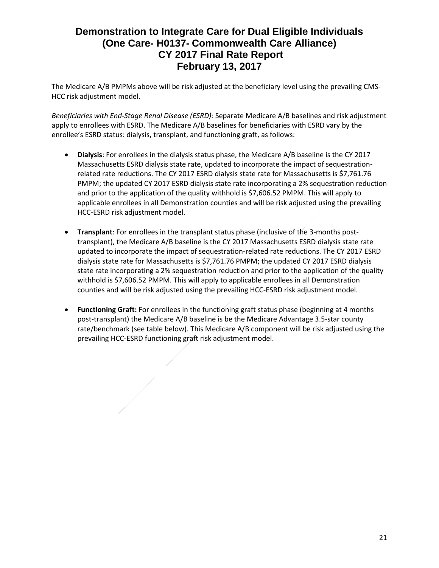The Medicare A/B PMPMs above will be risk adjusted at the beneficiary level using the prevailing CMS-HCC risk adjustment model.

*Beneficiaries with End-Stage Renal Disease (ESRD):* Separate Medicare A/B baselines and risk adjustment apply to enrollees with ESRD. The Medicare A/B baselines for beneficiaries with ESRD vary by the enrollee's ESRD status: dialysis, transplant, and functioning graft, as follows:

- **Dialysis**: For enrollees in the dialysis status phase, the Medicare A/B baseline is the CY 2017 Massachusetts ESRD dialysis state rate, updated to incorporate the impact of sequestrationrelated rate reductions. The CY 2017 ESRD dialysis state rate for Massachusetts is \$7,761.76 PMPM; the updated CY 2017 ESRD dialysis state rate incorporating a 2% sequestration reduction and prior to the application of the quality withhold is \$7,606.52 PMPM. This will apply to applicable enrollees in all Demonstration counties and will be risk adjusted using the prevailing HCC-ESRD risk adjustment model.
- **Transplant**: For enrollees in the transplant status phase (inclusive of the 3-months posttransplant), the Medicare A/B baseline is the CY 2017 Massachusetts ESRD dialysis state rate updated to incorporate the impact of sequestration-related rate reductions. The CY 2017 ESRD dialysis state rate for Massachusetts is \$7,761.76 PMPM; the updated CY 2017 ESRD dialysis state rate incorporating a 2% sequestration reduction and prior to the application of the quality withhold is \$7,606.52 PMPM. This will apply to applicable enrollees in all Demonstration counties and will be risk adjusted using the prevailing HCC-ESRD risk adjustment model.
- **Functioning Graft:** For enrollees in the functioning graft status phase (beginning at 4 months post-transplant) the Medicare A/B baseline is be the Medicare Advantage 3.5-star county rate/benchmark (see table below). This Medicare A/B component will be risk adjusted using the prevailing HCC-ESRD functioning graft risk adjustment model.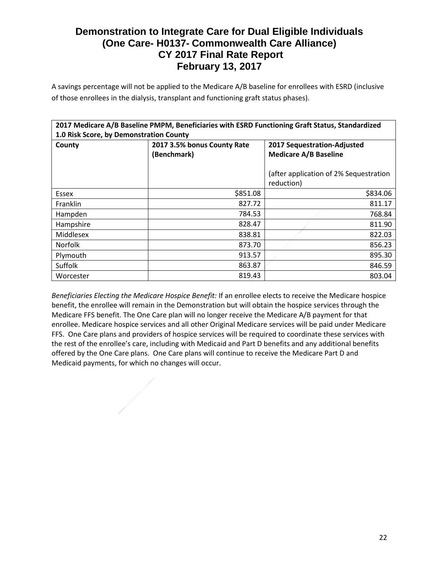A savings percentage will not be applied to the Medicare A/B baseline for enrollees with ESRD (inclusive of those enrollees in the dialysis, transplant and functioning graft status phases).

| 2017 Medicare A/B Baseline PMPM, Beneficiaries with ESRD Functioning Graft Status, Standardized |                             |                                        |  |  |  |  |  |  |  |  |  |  |
|-------------------------------------------------------------------------------------------------|-----------------------------|----------------------------------------|--|--|--|--|--|--|--|--|--|--|
| 1.0 Risk Score, by Demonstration County                                                         |                             |                                        |  |  |  |  |  |  |  |  |  |  |
| County                                                                                          | 2017 3.5% bonus County Rate | 2017 Sequestration-Adjusted            |  |  |  |  |  |  |  |  |  |  |
|                                                                                                 | (Benchmark)                 | <b>Medicare A/B Baseline</b>           |  |  |  |  |  |  |  |  |  |  |
|                                                                                                 |                             |                                        |  |  |  |  |  |  |  |  |  |  |
|                                                                                                 |                             | (after application of 2% Sequestration |  |  |  |  |  |  |  |  |  |  |
|                                                                                                 |                             | reduction)                             |  |  |  |  |  |  |  |  |  |  |
| Essex                                                                                           | \$851.08                    | \$834.06                               |  |  |  |  |  |  |  |  |  |  |
| Franklin                                                                                        | 827.72                      | 811.17                                 |  |  |  |  |  |  |  |  |  |  |
| Hampden                                                                                         | 784.53                      | 768.84                                 |  |  |  |  |  |  |  |  |  |  |
| Hampshire                                                                                       | 828.47                      | 811.90                                 |  |  |  |  |  |  |  |  |  |  |
| Middlesex                                                                                       | 838.81                      | 822.03                                 |  |  |  |  |  |  |  |  |  |  |
| <b>Norfolk</b>                                                                                  | 873.70                      | 856.23                                 |  |  |  |  |  |  |  |  |  |  |
| Plymouth                                                                                        | 913.57                      | 895.30                                 |  |  |  |  |  |  |  |  |  |  |
| Suffolk                                                                                         | 863.87                      | 846.59                                 |  |  |  |  |  |  |  |  |  |  |
| Worcester                                                                                       | 819.43                      | 803.04                                 |  |  |  |  |  |  |  |  |  |  |

*Beneficiaries Electing the Medicare Hospice Benefit:* If an enrollee elects to receive the Medicare hospice benefit, the enrollee will remain in the Demonstration but will obtain the hospice services through the Medicare FFS benefit. The One Care plan will no longer receive the Medicare A/B payment for that enrollee. Medicare hospice services and all other Original Medicare services will be paid under Medicare FFS. One Care plans and providers of hospice services will be required to coordinate these services with the rest of the enrollee's care, including with Medicaid and Part D benefits and any additional benefits offered by the One Care plans. One Care plans will continue to receive the Medicare Part D and Medicaid payments, for which no changes will occur.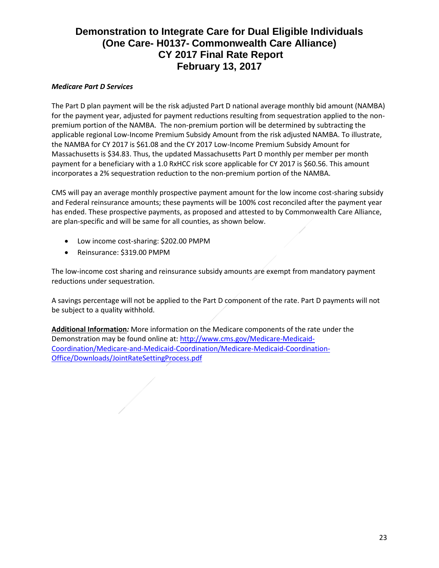## *Medicare Part D Services*

The Part D plan payment will be the risk adjusted Part D national average monthly bid amount (NAMBA) for the payment year, adjusted for payment reductions resulting from sequestration applied to the nonpremium portion of the NAMBA. The non-premium portion will be determined by subtracting the applicable regional Low-Income Premium Subsidy Amount from the risk adjusted NAMBA. To illustrate, the NAMBA for CY 2017 is \$61.08 and the CY 2017 Low-Income Premium Subsidy Amount for Massachusetts is \$34.83. Thus, the updated Massachusetts Part D monthly per member per month payment for a beneficiary with a 1.0 RxHCC risk score applicable for CY 2017 is \$60.56. This amount incorporates a 2% sequestration reduction to the non-premium portion of the NAMBA.

CMS will pay an average monthly prospective payment amount for the low income cost-sharing subsidy and Federal reinsurance amounts; these payments will be 100% cost reconciled after the payment year has ended. These prospective payments, as proposed and attested to by Commonwealth Care Alliance, are plan-specific and will be same for all counties, as shown below.

- Low income cost-sharing: \$202.00 PMPM
- Reinsurance: \$319.00 PMPM

The low-income cost sharing and reinsurance subsidy amounts are exempt from mandatory payment reductions under sequestration.

A savings percentage will not be applied to the Part D component of the rate. Part D payments will not be subject to a quality withhold.

**Additional Information***:* More information on the Medicare components of the rate under the Demonstration may be found online at: [http://www.cms.gov/Medicare-Medicaid-](http://www.cms.gov/Medicare-Medicaid-Coordination/Medicare-and-Medicaid-Coordination/Medicare-Medicaid-Coordination-Office/Downloads/JointRateSettingProcess.pdf)[Coordination/Medicare-and-Medicaid-Coordination/Medicare-Medicaid-Coordination-](http://www.cms.gov/Medicare-Medicaid-Coordination/Medicare-and-Medicaid-Coordination/Medicare-Medicaid-Coordination-Office/Downloads/JointRateSettingProcess.pdf)[Office/Downloads/JointRateSettingProcess.pdf](http://www.cms.gov/Medicare-Medicaid-Coordination/Medicare-and-Medicaid-Coordination/Medicare-Medicaid-Coordination-Office/Downloads/JointRateSettingProcess.pdf)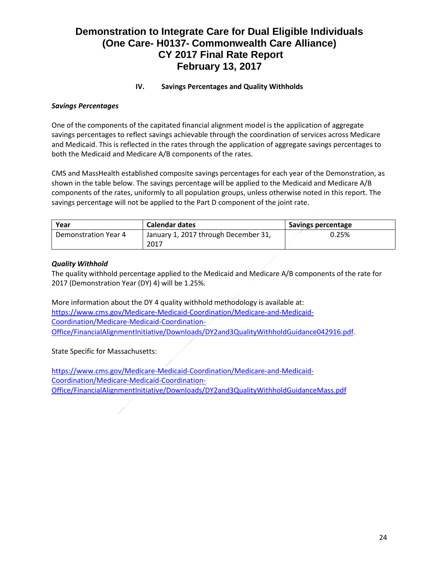## **IV. Savings Percentages and Quality Withholds**

### *Savings Percentages*

One of the components of the capitated financial alignment model is the application of aggregate savings percentages to reflect savings achievable through the coordination of services across Medicare and Medicaid. This is reflected in the rates through the application of aggregate savings percentages to both the Medicaid and Medicare A/B components of the rates.

CMS and MassHealth established composite savings percentages for each year of the Demonstration, as shown in the table below. The savings percentage will be applied to the Medicaid and Medicare A/B components of the rates, uniformly to all population groups, unless otherwise noted in this report. The savings percentage will not be applied to the Part D component of the joint rate.

| Year                 | <b>Calendar dates</b>                | Savings percentage |
|----------------------|--------------------------------------|--------------------|
| Demonstration Year 4 | January 1, 2017 through December 31, | 0.25%              |
|                      | 2017                                 |                    |

## *Quality Withhold*

The quality withhold percentage applied to the Medicaid and Medicare A/B components of the rate for 2017 (Demonstration Year (DY) 4) will be 1.25%.

More information about the DY 4 quality withhold methodology is available at: [https://www.cms.gov/Medicare-Medicaid-Coordination/Medicare-and-Medicaid-](https://www.cms.gov/Medicare-Medicaid-Coordination/Medicare-and-Medicaid-Coordination/Medicare-Medicaid-Coordination-Office/FinancialAlignmentInitiative/Downloads/DY2and3QualityWithholdGuidance042916.pdf)[Coordination/Medicare-Medicaid-Coordination-](https://www.cms.gov/Medicare-Medicaid-Coordination/Medicare-and-Medicaid-Coordination/Medicare-Medicaid-Coordination-Office/FinancialAlignmentInitiative/Downloads/DY2and3QualityWithholdGuidance042916.pdf)[Office/FinancialAlignmentInitiative/Downloads/DY2and3QualityWithholdGuidance042916.pdf](https://www.cms.gov/Medicare-Medicaid-Coordination/Medicare-and-Medicaid-Coordination/Medicare-Medicaid-Coordination-Office/FinancialAlignmentInitiative/Downloads/DY2and3QualityWithholdGuidance042916.pdf).

State Specific for Massachusetts:

[https://www.cms.gov/Medicare-Medicaid-Coordination/Medicare-and-Medicaid-](https://www.cms.gov/Medicare-Medicaid-Coordination/Medicare-and-Medicaid-Coordination/Medicare-Medicaid-Coordination-Office/FinancialAlignmentInitiative/Downloads/DY2and3QualityWithholdGuidanceMass.pdf)[Coordination/Medicare-Medicaid-Coordination-](https://www.cms.gov/Medicare-Medicaid-Coordination/Medicare-and-Medicaid-Coordination/Medicare-Medicaid-Coordination-Office/FinancialAlignmentInitiative/Downloads/DY2and3QualityWithholdGuidanceMass.pdf)[Office/FinancialAlignmentInitiative/Downloads/DY2and3QualityWithholdGuidanceMass.pdf](https://www.cms.gov/Medicare-Medicaid-Coordination/Medicare-and-Medicaid-Coordination/Medicare-Medicaid-Coordination-Office/FinancialAlignmentInitiative/Downloads/DY2and3QualityWithholdGuidanceMass.pdf)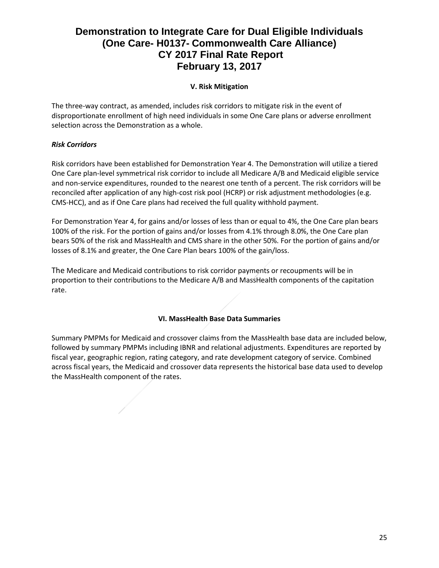## **V. Risk Mitigation**

The three-way contract, as amended, includes risk corridors to mitigate risk in the event of disproportionate enrollment of high need individuals in some One Care plans or adverse enrollment selection across the Demonstration as a whole.

## *Risk Corridors*

Risk corridors have been established for Demonstration Year 4. The Demonstration will utilize a tiered One Care plan-level symmetrical risk corridor to include all Medicare A/B and Medicaid eligible service and non-service expenditures, rounded to the nearest one tenth of a percent. The risk corridors will be reconciled after application of any high-cost risk pool (HCRP) or risk adjustment methodologies (e.g. CMS-HCC), and as if One Care plans had received the full quality withhold payment.

For Demonstration Year 4, for gains and/or losses of less than or equal to 4%, the One Care plan bears 100% of the risk. For the portion of gains and/or losses from 4.1% through 8.0%, the One Care plan bears 50% of the risk and MassHealth and CMS share in the other 50%. For the portion of gains and/or losses of 8.1% and greater, the One Care Plan bears 100% of the gain/loss.

The Medicare and Medicaid contributions to risk corridor payments or recoupments will be in proportion to their contributions to the Medicare A/B and MassHealth components of the capitation rate.

## **VI. MassHealth Base Data Summaries**

Summary PMPMs for Medicaid and crossover claims from the MassHealth base data are included below, followed by summary PMPMs including IBNR and relational adjustments. Expenditures are reported by fiscal year, geographic region, rating category, and rate development category of service. Combined across fiscal years, the Medicaid and crossover data represents the historical base data used to develop the MassHealth component of the rates.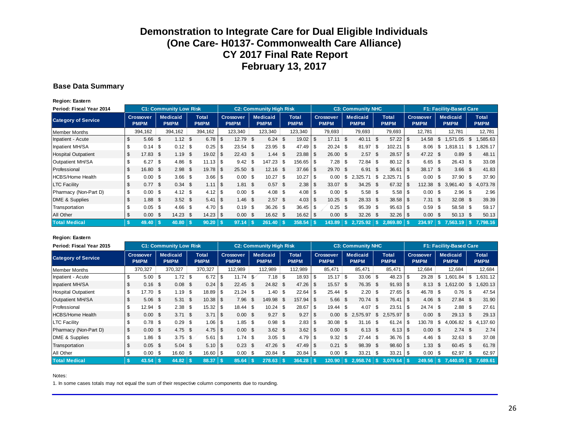#### **Base Data Summary**

**Region: Eastern**

| Period: Fiscal Year 2014   |                          |           |          | <b>C1: Community Low Risk</b> |                   | <b>C2: Community High Risk</b> |                             |  |                                 |  |                                |      |                             |      | <b>C3: Community NHC</b>        |     |                                | <b>F1: Facility-Based Care</b> |                             |              |                                 |    |                                |  |                             |
|----------------------------|--------------------------|-----------|----------|-------------------------------|-------------------|--------------------------------|-----------------------------|--|---------------------------------|--|--------------------------------|------|-----------------------------|------|---------------------------------|-----|--------------------------------|--------------------------------|-----------------------------|--------------|---------------------------------|----|--------------------------------|--|-----------------------------|
| <b>Category of Service</b> | Crossover<br><b>PMPM</b> |           |          |                               |                   | <b>Medicaid</b><br><b>PMPM</b> | <b>Total</b><br><b>PMPM</b> |  | <b>Crossover</b><br><b>PMPM</b> |  | <b>Medicaid</b><br><b>PMPM</b> |      | <b>Total</b><br><b>PMPM</b> |      | <b>Crossover</b><br><b>PMPM</b> |     | <b>Medicaid</b><br><b>PMPM</b> |                                | <b>Total</b><br><b>PMPM</b> |              | <b>Crossover</b><br><b>PMPM</b> |    | <b>Medicaid</b><br><b>PMPM</b> |  | <b>Total</b><br><b>PMPM</b> |
| <b>Member Months</b>       |                          | 394,162   |          | 394,162                       | 394,162           |                                | 123,340                     |  | 123,340                         |  | 123,340                        |      | 79,693                      |      | 79,693                          |     | 79,693                         |                                | 12,781                      |              | 12,781                          |    | 12,781                         |  |                             |
| Inpatient - Acute          | \$                       | 5.66      | - \$     | 1.12                          | \$<br>6.78        | -\$                            | $12.79$ \$                  |  | $6.24$ \$                       |  | 19.02                          | \$   | 17.11                       | \$.  | 40.11                           | \$  | 57.22                          | l \$                           | 14.58                       | S.           | 571.05                          | S. | ,585.63                        |  |                             |
| Inpatient MH/SA            | \$                       |           |          | 0.12                          | \$<br>0.25        | -\$                            | $23.54$ \$                  |  | $23.95$ \$                      |  | 47.49                          | -S   | 20.24                       | \$   | 81.97                           | \$  | 102.21 S                       |                                | 8.06                        | S.           | ,818.11                         | \$ | ,826.17                        |  |                             |
| <b>Hospital Outpatient</b> | \$                       | 17.83     | - \$     | 1.19                          | \$<br>19.02       | -\$                            | $22.43$ \$                  |  | $1.44$ \$                       |  | 23.88                          | - \$ | 26.00                       | - \$ | 2.57                            | \$  |                                |                                | 47.22 \$                    |              | 0.89                            | \$ | 48.11                          |  |                             |
| Outpatient MH/SA           | \$                       | $6.27$ \$ |          | 4.86                          | \$                |                                | $9.42 \,$ \ \$              |  | $147.23$ \$                     |  | 156.65                         | - \$ | 7.28                        | \$   | 72.84                           | \$  |                                |                                | $6.65$ \$                   |              | $26.43$ \$                      |    | 33.08                          |  |                             |
| Professional               | \$                       | 16.80     | - \$     | 2.98                          | \$<br>19.78       | -\$                            | $25.50$ \$                  |  | $12.16$ \$                      |  | 37.66                          | -\$  | 29.70                       | \$.  | 6.91                            | \$  | 36.61                          | l \$                           | 38.17 \$                    |              | $3.66$ \$                       |    | 41.83                          |  |                             |
| <b>HCBS/Home Health</b>    | \$                       | 0.00      | <b>S</b> | 3.66                          | \$<br>$3.66$ \ \$ |                                | $0.00$ \$                   |  | $10.27$ \$                      |  | 10.27                          | \$   | 0.00                        | \$   | 2,325.71                        | \$  |                                |                                |                             |              | $37.90$ \$                      |    | 37.90                          |  |                             |
| <b>LTC Facility</b>        | \$                       | 0.77      | - \$     | 0.34                          | \$<br>1.11        | l \$                           | $1.81$ \$                   |  | $0.57$ \$                       |  | 2.38                           | - \$ | 33.07                       | S.   | 34.25                           | \$  |                                |                                | 112.38                      | $\mathbb{S}$ | 3,961.40                        | S. | 4,073.78                       |  |                             |
| Pharmacy (Non-Part D)      | \$                       | 0.00      | - \$     | 4.12                          | \$<br>4.12        | - \$                           | $0.00$ \$                   |  |                                 |  | $4.08$ \ \ \$                  |      | $0.00$ \$                   |      | 5.58                            | \$  |                                |                                |                             |              |                                 |    | 2.96                           |  |                             |
| DME & Supplies             | \$                       | 1.88      | -\$      | $3.52$ \$                     | 5.41              | l \$                           | $1.46$ \$                   |  | $2.57$ \$                       |  | 4.03                           | \$   | 10.25                       | - \$ | 28.33                           | \$  |                                |                                | 7.31                        | - \$         | $32.08$ \$                      |    | 39.39                          |  |                             |
| Transportation             | \$                       | 0.05      | <b>S</b> | 4.66                          | \$<br>4.70        | -\$                            |                             |  | $36.26$ \$                      |  | $36.45$ \ \ \$                 |      | 0.25                        | -\$  | 95.39                           | S.  | $95.63$ \ \$                   |                                |                             |              | $58.58$ \$                      |    | 59.17                          |  |                             |
| All Other                  | \$                       | 0.00      | - \$     | 14.23                         | \$<br>$14.23$ \$  |                                | $0.00\quad$ \$              |  | 16.62 \$                        |  | 16.62                          | - \$ | 0.00                        | \$.  | 32.26                           | -\$ |                                |                                | $0.00 \,$ \$                |              | $50.13$ \$                      |    | 50.13                          |  |                             |
| <b>Total Medical</b>       | -\$                      | 49.40     |          | $40.80$ \ \$                  | $90.20$   \$      |                                | 97.14                       |  | $261.40$ \$                     |  | 358.54                         |      | 143.89                      | -\$  |                                 |     | $2.869.80$ \ \$                |                                | 234.97                      |              | $\vert$ \$ 7.563.19 \ \$        |    | 7.798.16                       |  |                             |

#### **Region: Eastern**

| Period: Fiscal Year 2015   |                                 |           |         | <b>C1: Community Low Risk</b>  |         |                      |         |                                 |        | <b>C2: Community High Risk</b> |        |                             |          |                                 |          | <b>C3: Community NHC</b>       |          |                             |        | F1: Facility-Based Care         |     |                                  |      |                             |  |
|----------------------------|---------------------------------|-----------|---------|--------------------------------|---------|----------------------|---------|---------------------------------|--------|--------------------------------|--------|-----------------------------|----------|---------------------------------|----------|--------------------------------|----------|-----------------------------|--------|---------------------------------|-----|----------------------------------|------|-----------------------------|--|
| <b>Category of Service</b> | <b>Crossover</b><br><b>PMPM</b> |           |         | <b>Medicaid</b><br><b>PMPM</b> |         | Total<br><b>PMPM</b> |         | <b>Crossover</b><br><b>PMPM</b> |        | <b>Medicaid</b><br><b>PMPM</b> |        | <b>Total</b><br><b>PMPM</b> |          | <b>Crossover</b><br><b>PMPM</b> |          | <b>Medicaid</b><br><b>PMPM</b> |          | <b>Total</b><br><b>PMPM</b> |        | <b>Crossover</b><br><b>PMPM</b> |     | <b>Medicaid</b><br><b>PMPM</b>   |      | <b>Total</b><br><b>PMPM</b> |  |
| Member Months              | 370,327<br>370,327<br>370,327   |           | 112,989 |                                | 112,989 |                      | 112,989 |                                 | 85,471 |                                | 85.471 |                             | 85,471   | 12.684                          |          | 12,684                         |          |                             | 12.684 |                                 |     |                                  |      |                             |  |
| Inpatient - Acute          | \$                              | 5.00      | \$      | $1.72$ \$                      |         | 6.72                 |         | $11.74$ \$                      |        |                                |        | 18.93                       | l \$     | $15.17$ \$                      |          | $33.06$ \$                     |          | 48.23                       | - \$   | 29.28                           | \$  | .601.84                          | \$   | .631.12                     |  |
| Inpatient MH/SA            | \$                              | 0.16      | \$.     | 0.08                           | - \$    | 0.24                 | l \$    | $22.45$ \$                      |        | $24.82$ \$                     |        |                             |          | 15.57                           | -\$      | 76.35 \$                       |          |                             |        | 8.13                            | \$. | .612.00                          | \$   | .620.13                     |  |
| <b>Hospital Outpatient</b> | \$                              | 17.70     | \$      | 1.19                           | 5       | 18.89                |         | $21.24$ \$                      |        | $1.40 \,$ \$                   |        | 22.64                       | \$       | $25.44$ \$                      |          | 2.20                           | <b>S</b> |                             |        | $46.78$ \$                      |     | 0.76                             | -\$  | 47.54                       |  |
| Outpatient MH/SA           |                                 | 5.06      | \$      | 5.31                           | \$      |                      |         | 7.96                            | - \$   | 149.98                         | - \$   | 157.94                      | l \$     | 5.66                            | -\$      | 70.74 \$                       |          |                             |        | $4.06$ \$                       |     | 27.84 \$                         |      | 31.90                       |  |
| Professional               | \$                              | 12.94     | \$      | 2.38                           | 5       | 15.32                |         |                                 |        |                                |        | 28.67                       | l \$     | $19.44$ \$                      |          | 4.07                           | - \$     | $23.51$ $\sqrt{3}$          |        | $24.74$ \$                      |     |                                  |      | 27.61                       |  |
| <b>HCBS/Home Health</b>    |                                 | 0.00      | \$      | 3.71                           | - \$    | 3.71                 | l \$    | $0.00 \,$ \$                    |        | $9.27$ \$                      |        | 9.27                        | <b>S</b> | 0.00                            | \$       | 2,575.97                       | \$       | $2,575.97$ \\$              |        | $0.00\quad$ \$                  |     | 29.13 \$                         |      | 29.13                       |  |
| <b>LTC Facility</b>        |                                 | 0.78      | \$      | $0.29$ \$                      |         | 1.06                 |         | $1.85$ \$                       |        |                                |        | 2.83                        | \$       | 30.08                           | <b>S</b> | 31.16                          | <b>S</b> | 61.24                       | -\$    | 130.78                          | \$  | $4,006.82$ \$                    |      | 4.137.60                    |  |
| Pharmacy (Non-Part D)      | \$                              | 0.00      | - \$    | 4.75 $$$                       |         | $4.75$ \$            |         | $0.00 \,$ \$                    |        | $3.62$ \$                      |        | $3.62 \quad $$              |          | $0.00 \text{ }$ \$              |          | $6.13$ \$                      |          |                             |        | $0.00\quad$ \$                  |     | 2.74                             | - \$ | 2.74                        |  |
| DME & Supplies             |                                 | 1.86      | \$      | $3.75$ \$                      |         | 5.61                 |         |                                 |        | $3.05$ \$                      |        | 4.79                        | \$       | $9.32$ \$                       |          | $27.44$ \$                     |          | $36.76$ $\frac{1}{3}$       |        | $4.46$ \$                       |     | $32.63$ \$                       |      | 37.08                       |  |
| Transportation             |                                 | 0.05      | \$      | 5.04                           | - \$    |                      |         | $0.23$ \$                       |        | $47.26$ \$                     |        |                             |          | 0.21                            | -\$      | 98.39                          | - \$     |                             |        | $1.33$ \$                       |     | 60.45 \$                         |      | 61.78                       |  |
| All Other                  | \$                              | $0.00$ \$ |         | $16.60$ \$                     |         | $16.60$ \ \$         |         | $0.00$ \$                       |        | $20.84$ \$                     |        | 20.84                       | \$       | 0.00                            | <b>S</b> | 33.21                          | ∣\$      | $33.21$ $\sqrt{3}$          |        | $0.00$ \$                       |     |                                  |      | 62.97                       |  |
| <b>Total Medical</b>       |                                 | 43.54     |         | $44.82$   \$                   |         | 88.37                |         | 85.64                           |        | 278.63                         |        | $364.28$   \$               |          | $120.90$ \ \$                   |          | 2.958.74                       |          | 3.079.64                    |        |                                 |     | 249.56   \$7.440.05   \$7.689.61 |      |                             |  |

#### Notes: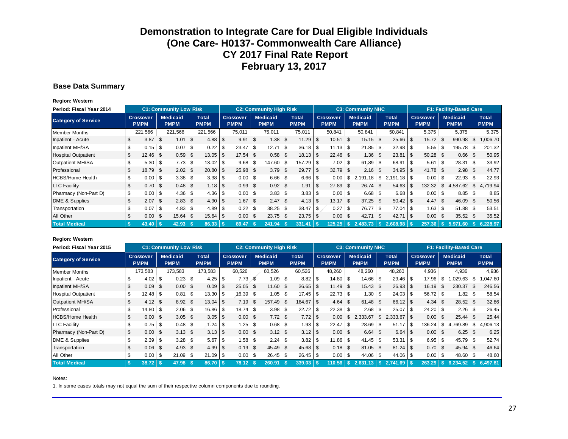#### **Base Data Summary**

**Region: Western**

| Period: Fiscal Year 2014   |              |                          |      | <b>C1: Community Low Risk</b>  |      |                             |      |                                 | <b>C2: Community High Risk</b> |          |                      |          |                          |      | <b>C3: Community NHC</b>       |          |                             |              |                                 |      | <b>F1: Facility-Based Care</b> |      |                             |
|----------------------------|--------------|--------------------------|------|--------------------------------|------|-----------------------------|------|---------------------------------|--------------------------------|----------|----------------------|----------|--------------------------|------|--------------------------------|----------|-----------------------------|--------------|---------------------------------|------|--------------------------------|------|-----------------------------|
| <b>Category of Service</b> |              | Crossover<br><b>PMPM</b> |      | <b>Medicaid</b><br><b>PMPM</b> |      | <b>Total</b><br><b>PMPM</b> |      | <b>Crossover</b><br><b>PMPM</b> | <b>Medicaid</b><br><b>PMPM</b> |          | Total<br><b>PMPM</b> |          | Crossover<br><b>PMPM</b> |      | <b>Medicaid</b><br><b>PMPM</b> |          | <b>Total</b><br><b>PMPM</b> |              | <b>Crossover</b><br><b>PMPM</b> |      | <b>Medicaid</b><br><b>PMPM</b> |      | <b>Total</b><br><b>PMPM</b> |
| Member Months              |              | 221,566                  |      | 221,566                        |      | 221,566                     |      | 75,011                          | 75,011                         |          | 75,011               |          | 50,841                   |      | 50,841                         |          | 50,841                      |              | 5,375                           |      | 5,375                          |      | 5,375                       |
| Inpatient - Acute          | \$           | 3.87                     | - \$ | 1.01                           | S.   |                             |      | $9.91$ \$                       | $1.38$ \$                      |          | 11.29                | \$       | 10.51                    | \$   | 15.15                          | <b>S</b> | $25.66$ \$                  |              | 15.72                           | - \$ | 990.98                         | \$   | 1,006.70                    |
| Inpatient MH/SA            | \$.          | $0.15$ \$                |      | 0.07                           | \$   | 0.22                        | l \$ | $23.47$ \$                      | 12.71                          | <b>S</b> | $36.18$ \$           |          | $11.13$ \$               |      | 21.85                          | - \$     | $32.98$ \$                  |              | $5.55$ \$                       |      | 195.78                         | \$   | 201.32                      |
| <b>Hospital Outpatient</b> | \$           | $12.46$ \$               |      | 0.59                           | \$   |                             |      | 17.54 \$                        | $0.58$ \$                      |          | $18.13$ $\sqrt{5}$   |          | $22.46$ \$               |      | 1.36                           | \$       | 23.81                       | $\mathsf{I}$ | 50.28 \$                        |      | 0.66                           | - \$ | 50.95                       |
| Outpatient MH/SA           |              | $5.30$ \$                |      | 7.73                           | \$   |                             |      | $9.68$ \$                       | $147.60$ \$                    |          | 157.29               | - S      | $7.02$ \$                |      | 61.89                          | - \$     | $68.91$ \\$                 |              | $5.61$ \ \$                     |      | $28.31$ \$                     |      | 33.92                       |
| Professional               | \$           | 18.79                    | -\$  | $2.02 \quad$ \$                |      | 20.80                       | l \$ | 25.98 \$                        | $3.79$ \$                      |          | 29.77                | \$       | 32.79                    | - \$ | 2.16                           | \$.      | $34.95$ \$                  |              | 41.78 \$                        |      | $2.98$ \$                      |      | 44.77                       |
| <b>HCBS/Home Health</b>    | \$           | 0.00                     | -\$  |                                |      |                             |      | $0.00$ \$                       | $6.66$ \$                      |          | $6.66$ \ \$          |          | 0.00                     | \$   | 2,191.18                       | \$       |                             |              | $0.00$ \$                       |      | $22.93$ \$                     |      | 22.93                       |
| <b>LTC Facility</b>        |              | 0.70                     | - \$ | 0.48                           | - \$ |                             |      | $0.99$ \$                       | $0.92$ \$                      |          | 1.91                 | <b>S</b> | 27.89                    | -S   | 26.74                          | -S       | $54.63$ \$                  |              | 132.32                          | - \$ | 4,587.62                       | \$   | 4,719.94                    |
| Pharmacy (Non-Part D)      | \$           | $0.00$ \$                |      | 4.36                           | \$   |                             |      | $0.00$ \$                       | $3.83$ \$                      |          | $3.83$ \ \ \$        |          | $0.00$ \$                |      | $6.68$ \$                      |          | $6.68$   \$                 |              | $0.00$ \$                       |      | $8.85$ \ \ \$                  |      | 8.85                        |
| DME & Supplies             | \$.          | 2.07                     | \$   | 2.83                           | \$   |                             |      | $1.67$ \$                       | 2.47S                          |          |                      |          | 13.17                    | \$   | 37.25                          | <b>S</b> |                             |              | 4.47 S                          |      | 46.09                          | \$   | 50.56                       |
| Transportation             | \$           | 0.07                     | ∣\$  | 4.83                           | \$   | 4.89                        | l \$ | $0.22$ \$                       | $38.25$ \$                     |          | $38.47$ \ \ \$       |          | 0.27                     | \$   | 76.77                          | -\$      | $77.04$ \$                  |              | $1.63$ \$                       |      | $51.88$ \ \$                   |      | 53.51                       |
| All Other                  | \$           | 0.00                     | -\$  | 15.64                          | - \$ |                             |      | $0.00\ 5$                       | 23.75 \$                       |          | $23.75$ \$           |          | 0.00                     | \$   | 42.71                          | -S       | $42.71$ \\$                 |              | $0.00\quad$ \$                  |      | 35.52 \$                       |      | 35.52                       |
| <b>Total Medical</b>       | $\mathbf{s}$ | 43.40                    |      | 42.93                          |      | 86.33                       |      | 89.47                           | 241.94                         |          | 331.41               |          | 125.25                   | -S.  | 2.483.73                       |          | $2.608.98$ \ \$             |              | 257.36                          |      | 5.971.60                       |      | 6.228.97                    |

#### **Region: Western**

| Period: Fiscal Year 2015   |    |                                 |      | <b>C1: Community Low Risk</b>  |           |                             |      |                                 |      | <b>C2: Community High Risk</b> |                             |          |                                 | <b>C3: Community NHC</b>       |      |                             |                                 |      | F1: Facility-Based Care        |      |                             |
|----------------------------|----|---------------------------------|------|--------------------------------|-----------|-----------------------------|------|---------------------------------|------|--------------------------------|-----------------------------|----------|---------------------------------|--------------------------------|------|-----------------------------|---------------------------------|------|--------------------------------|------|-----------------------------|
| <b>Category of Service</b> |    | <b>Crossover</b><br><b>PMPM</b> |      | <b>Medicaid</b><br><b>PMPM</b> |           | <b>Total</b><br><b>PMPM</b> |      | <b>Crossover</b><br><b>PMPM</b> |      | <b>Medicaid</b><br><b>PMPM</b> | <b>Total</b><br><b>PMPM</b> |          | <b>Crossover</b><br><b>PMPM</b> | <b>Medicaid</b><br><b>PMPM</b> |      | <b>Total</b><br><b>PMPM</b> | <b>Crossover</b><br><b>PMPM</b> |      | <b>Medicaid</b><br><b>PMPM</b> |      | <b>Total</b><br><b>PMPM</b> |
| <b>Member Months</b>       |    | 173,583                         |      | 173,583                        |           | 173,583                     |      | 60,526                          |      | 60,526                         | 60,526                      |          | 48,260                          | 48,260                         |      | 48,260                      | 4,936                           |      | 4,936                          |      | 4,936                       |
| Inpatient - Acute          |    | $4.02 \, \text{S}$              |      | 0.23                           | \$        |                             |      | $7.73$ \$                       |      | $1.09$ \$                      | 8.82                        | <b>S</b> | $14.80$ \$                      | 14.66                          | \$   | $29.46$ \$                  | 17.96                           | - S  | .029.63                        | - \$ | ,047.60                     |
| Inpatient MH/SA            |    | 0.09                            | \$   | 0.00                           | \$        | 0.09                        | l \$ | $25.05$ \$                      |      | $11.60$ \$                     | $36.65$   \$                |          | 11.49                           | \$<br>15.43                    | - \$ | $26.93$ \$                  | 16.19                           | - \$ | 230.37                         | \$   | 246.56                      |
| <b>Hospital Outpatient</b> |    | $12.48$ \$                      |      | 0.81                           | \$        | 13.30                       | l \$ | $16.39$ \$                      |      | $1.05$ \$                      | 17.45                       | <b>S</b> | 22.73                           | \$<br>1.30                     | \$   | $24.03$ \$                  | 56.72 \$                        |      | 1.82                           | - \$ | 58.54                       |
| <b>Outpatient MH/SA</b>    |    | 4.12                            | - \$ | 8.92                           | - \$      |                             |      | 7.19                            | - \$ | 157.49 \$                      | $164.67$ $\sqrt$            |          | 4.64                            | \$<br>61.48                    | - \$ |                             | $4.34 \quad $$                  |      | 28.52 \$                       |      | 32.86                       |
| Professional               |    | $14.80$ \ \$                    |      | 2.06                           | <b>\$</b> | $16.86$ \ \$                |      | $18.74$ \$                      |      |                                | 22.72                       | <b>S</b> | 22.38                           | \$<br>2.68                     | \$   | $25.07$ \$                  | $24.20$ \$                      |      |                                |      | 26.45                       |
| <b>HCBS/Home Health</b>    |    | 0.00                            | \$   | 3.05                           | - \$      |                             |      | $0.00\,$ \$                     |      | 7.72 <sup>5</sup>              | 7.72                        | <b>S</b> | 0.00                            | \$<br>2.333.67                 | \$   | $2,333.67$ \$               | $0.00\,$ \$                     |      | $25.44$ \$                     |      | 25.44                       |
| <b>LTC Facility</b>        |    | $0.75$ \$                       |      | 0.48                           | \$        |                             |      | $1.25$ \$                       |      |                                | 1.93                        | း        | 22.47                           | \$<br>28.69                    | \$   |                             | 136.24                          | ∣\$  | 4,769.89                       | \$   | 4,906.13                    |
| Pharmacy (Non-Part D)      | \$ | 0.00                            | - \$ | 3.13                           | \$        |                             |      | $0.00\,$ \$                     |      | $3.12 \quad $$                 |                             |          | $0.00 \text{ }$ \$              | $6.64$ \$                      |      | $6.64$ \ \ \$               | $0.00 \,$ \$                    |      | $6.25$ \$                      |      | 6.25                        |
| DME & Supplies             |    | 2.39                            | -\$  | 3.28                           | \$        | 5.67                        | l \$ |                                 |      | $2.24 \,$ \ \$                 | 3.82                        | း        | 11.86                           | \$<br>41.45                    | \$   | $53.31$ \\$                 | $6.95$ \$                       |      | $45.79$ \$                     |      | 52.74                       |
| Transportation             |    | 0.06                            | -\$  | 4.93                           | -\$       | $4.99$ \ \$                 |      | $0.19$ \$                       |      | 45.49 \$                       |                             |          | 0.18                            | \$<br>81.05 \$                 |      |                             | $0.70$ \$                       |      | 45.94 \$                       |      | 46.64                       |
| All Other                  | \$ | 0.00                            | - \$ | 21.09                          | \$        |                             |      | $0.00$ \$                       |      | $26.45$ \$                     |                             |          | 0.00                            | \$<br>44.06                    | \$   | 44.06 \$                    |                                 |      | $48.60$ \ \$                   |      | 48.60                       |
| <b>Total Medical</b>       | -S | 38.72                           |      | 47.98                          |           | 86.70                       |      | 78.12                           |      | 260.91                         | 339.03                      |          | 110.56                          |                                |      | $2,741.69$ \$               | 263.29                          |      | $S$ 6.234.52                   |      | 6.497.81                    |

#### Notes: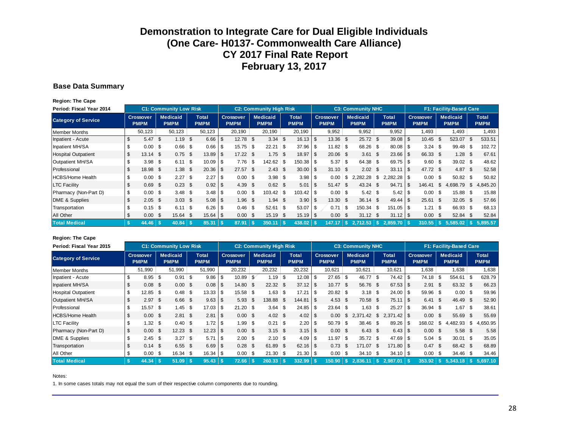#### **Base Data Summary**

**Region: The Cape**

| Period: Fiscal Year 2014   |              |                                 |     | <b>C1: Community Low Risk</b>  |     |                             |      |                                 |      | <b>C2: Community High Risk</b> |                             |      |                                 |      | <b>C3: Community NHC</b>       |              |                             |            |                                 |      | F1: Facility-Based Care        |      |                             |
|----------------------------|--------------|---------------------------------|-----|--------------------------------|-----|-----------------------------|------|---------------------------------|------|--------------------------------|-----------------------------|------|---------------------------------|------|--------------------------------|--------------|-----------------------------|------------|---------------------------------|------|--------------------------------|------|-----------------------------|
| <b>Category of Service</b> |              | <b>Crossover</b><br><b>PMPM</b> |     | <b>Medicaid</b><br><b>PMPM</b> |     | <b>Total</b><br><b>PMPM</b> |      | <b>Crossover</b><br><b>PMPM</b> |      | <b>Medicaid</b><br><b>PMPM</b> | <b>Total</b><br><b>PMPM</b> |      | <b>Crossover</b><br><b>PMPM</b> |      | <b>Medicaid</b><br><b>PMPM</b> |              | <b>Total</b><br><b>PMPM</b> |            | <b>Crossover</b><br><b>PMPM</b> |      | <b>Medicaid</b><br><b>PMPM</b> |      | <b>Total</b><br><b>PMPM</b> |
| <b>Member Months</b>       |              | 50,123                          |     | 50,123                         |     | 50,123                      |      | 20,190                          |      | 20,190                         | 20,190                      |      | 9,952                           |      | 9,952                          |              | 9,952                       |            | 1,493                           |      | 1,493                          |      | 1,493                       |
| Inpatient - Acute          | \$           | $5.47$ \$                       |     | 1.19                           | \$  | $6.66$ \ \$                 |      | $12.78$ \$                      |      | $3.34$ \$                      | 16.13                       | \$   | 13.36 \$                        |      | 25.72 \$                       |              | $39.08$ \$                  |            | 10.45                           | -S   | 523.07                         | -\$  | 533.51                      |
| Inpatient MH/SA            |              | $0.00$ \$                       |     | 0.66                           | \$  | 0.66                        | -\$  | $15.75$ \$                      |      | $22.21$ \$                     | 37.96                       | \$   | $11.82$ \$                      |      | 68.26                          | $\mathsf{S}$ |                             |            |                                 |      | $99.48$ \$                     |      | 102.72                      |
| <b>Hospital Outpatient</b> | \$           | $13.14$ \$                      |     | 0.75                           | \$  | 13.89                       | ∣\$  | $17.22$ \$                      |      | $1.75$ \$                      | 18.97                       | \$   | 20.06 \$                        |      | 3.61                           | \$           |                             |            | 66.33 \$                        |      | 1.28                           | - \$ | 67.61                       |
| Outpatient MH/SA           |              | $3.98$ \$                       |     | 6.11                           | \$  | 10.09                       | ∣\$  |                                 |      | $142.62$ \$                    | $150.38$   \$               |      | 5.37                            | -\$  | 64.38                          | ∣\$          | $69.75$ \ \ \$              |            | $9.60$ \$                       |      | $39.02$ \$                     |      | 48.62                       |
| Professional               | \$           | 18.98 \$                        |     | 1.38                           | \$  | $20.36$ \$                  |      | $27.57$ \$                      |      | $2.43$ \$                      |                             |      | $31.10$ \$                      |      | 2.02                           | \$           |                             |            | 47.72 \$                        |      | $4.87$ \$                      |      | 52.58                       |
| <b>HCBS/Home Health</b>    | \$.          | 0.00                            | \$  | 2.27                           | -\$ | 2.27                        | l \$ | $0.00$ \$                       |      | $3.98$ \$                      | 3.98                        | -\$  | 0.00                            | \$   | 2,282.28                       | \$           | $.282.28$ \$                |            |                                 |      | $50.82$ \$                     |      | 50.82                       |
| <b>LTC Facility</b>        | \$           | 0.69                            | \$  | 0.23                           | -\$ |                             |      | 4.39                            | - \$ | $0.62 \quad $$                 | 5.01                        | -\$  | 51.47                           | \$   | 43.24                          | \$           | 94.71                       | $\sqrt{3}$ | 146.41                          | S.   | .698.79                        | \$   | 4,845.20                    |
| Pharmacy (Non-Part D)      | \$           | 0.00                            | -\$ | 3.48                           | \$  |                             |      | 0.00                            | ∣\$  |                                | 103.42                      | -\$  | $0.00$ \$                       |      | $5.42$ \ \$                    |              |                             |            |                                 |      | $15.88$ \$                     |      | 15.88                       |
| DME & Supplies             | \$           | 2.05                            | \$  | 3.03                           | \$  | $5.08$ \ \ \$               |      | $1.96$ \$                       |      | $1.94$ \$                      | 3.90                        | \$   | 13.30                           | - \$ | 36.14                          | - \$         |                             |            | 25.61                           | - \$ | $32.05$ \$                     |      | 57.66                       |
| Transportation             | \$           | $0.15$ \$                       |     | 6.11                           | \$  | $6.26$ \ \ \$               |      |                                 |      | $52.61$ \\$                    | 53.07                       | l \$ | 0.71                            | -\$  | 150.34                         | <b>S</b>     |                             |            |                                 |      | 66.93 \$                       |      | 68.13                       |
| All Other                  |              | 0.00                            | \$  | 15.64                          | -\$ | $15.64$ \ \$                |      | $0.00\ 5$                       |      | 15.19 \$                       | 15.19                       | \$   | 0.00                            | - \$ | 31.12                          | - \$         | $31.12$   \$                |            | 0.00                            | - \$ | 52.84                          | - \$ | 52.84                       |
| <b>Total Medical</b>       | $\mathbf{s}$ | 44.46                           |     | 40.84                          |     | $85.31$ \ \$                |      | 87.91                           |      | 350.11                         | 438.02                      |      | 147.17                          | - \$ | 2.712.53                       |              | 2.859.70                    |            | 310.55                          |      | 5.585.02                       |      | 5.895.57                    |

#### **Region: The Cape**

| Period: Fiscal Year 2015   |     |                          |      | <b>C1: Community Low Risk</b>  |          |                      |             |                                 | <b>C2: Community High Risk</b> |    |                             |                |                                 |      | <b>C3: Community NHC</b>       |      |                             |      |                                 |      | F1: Facility-Based Care        |                             |
|----------------------------|-----|--------------------------|------|--------------------------------|----------|----------------------|-------------|---------------------------------|--------------------------------|----|-----------------------------|----------------|---------------------------------|------|--------------------------------|------|-----------------------------|------|---------------------------------|------|--------------------------------|-----------------------------|
| <b>Category of Service</b> |     | Crossover<br><b>PMPM</b> |      | <b>Medicaid</b><br><b>PMPM</b> |          | Total<br><b>PMPM</b> |             | <b>Crossover</b><br><b>PMPM</b> | <b>Medicaid</b><br><b>PMPM</b> |    | <b>Total</b><br><b>PMPM</b> |                | <b>Crossover</b><br><b>PMPM</b> |      | <b>Medicaid</b><br><b>PMPM</b> |      | <b>Total</b><br><b>PMPM</b> |      | <b>Crossover</b><br><b>PMPM</b> |      | <b>Medicaid</b><br><b>PMPM</b> | <b>Total</b><br><b>PMPM</b> |
| <b>Member Months</b>       |     | 51,990                   |      | 51,990                         |          | 51,990               |             | 20,232                          | 20,232                         |    | 20,232                      |                | 10,621                          |      | 10,621                         |      | 10,621                      |      | 1,638                           |      | 1,638                          | 1,638                       |
| Inpatient - Acute          |     | $8.95$ \$                |      | 0.91                           | -\$      | 9.86                 | - \$        | $10.89$ \$                      | $1.19$ \$                      |    |                             |                | $27.65$ \$                      |      | 46.77 \$                       |      | 74.42                       | -S   | $74.18$ \ \$                    |      | 554.61                         | \$<br>628.79                |
| Inpatient MH/SA            |     | 0.08                     | \$   | $0.00 \,$ \$                   |          |                      |             | $14.80\quad$ \$                 | 22.32                          | -S |                             |                | $10.77$ \$                      |      | 56.76 \$                       |      |                             |      | 2.91                            | - \$ | 63.32 \$                       | 66.23                       |
| <b>Hospital Outpatient</b> |     | $12.85$ \$               |      | 0.48                           | 5        |                      |             | $15.58$ \$                      | 1.63                           | \$ | 17.21                       | း              | $20.82$ \$                      |      |                                |      | 24.00                       | l \$ | $59.96$ \$                      |      | 0.00                           | \$<br>59.96                 |
| Outpatient MH/SA           |     | 2.97                     | - \$ | 6.66 <sup>5</sup>              |          | $9.63 \, \text{S}$   |             | $5.93$ \$                       | 138.88                         | -S | 144.81                      | $\overline{1}$ | 4.53                            | -\$  | 70.58 \$                       |      | 75.11                       | l \$ | 6.41                            | - \$ | 46.49 \$                       | 52.90                       |
| Professional               | \$  | $15.57$ \$               |      | 1.45                           | <b>S</b> |                      |             |                                 | 3.64                           | \$ | $24.85$ \$                  |                | $23.64$ \$                      |      | 1.63                           | - \$ | 25.27                       | -S   | $36.94$ \$                      |      | 1.67                           | \$<br>38.61                 |
| <b>HCBS/Home Health</b>    |     | 0.00                     | -S   | 2.81                           | -\$      | 2.81                 | $\sqrt{3}$  | $0.00 \,$ \$                    | 4.02                           | -S |                             |                | 0.00                            | \$.  | 2.371.42                       | \$   |                             |      | 0.00                            | \$   | 55.69                          | \$<br>55.69                 |
| <b>LTC Facility</b>        |     | $1.32$ \$                |      | $0.40 \,$ \ \$                 |          | 1.72                 | - \$        | $1.99$ \$                       |                                |    | 2.20                        | l \$           | $50.79$ \$                      |      | $38.46$ \$                     |      | 89.26                       | -S   | $168.02$ \$                     |      | 4,482.93                       | \$<br>4,650.95              |
| Pharmacy (Non-Part D)      | \$  | 0.00                     | \$   | 12.23                          | - \$     | $12.23$ \$           |             | $0.00 \,$ \$                    | $3.15$ \$                      |    |                             |                | 0.00                            | - \$ | $6.43\quad$                    |      |                             |      | $0.00 \text{ }$ \$              |      | 5.58                           | \$<br>5.58                  |
| DME & Supplies             |     | 2.45                     | S.   | 3.27                           | <b>S</b> | 5.71                 | <b>1 \$</b> |                                 | $2.10$ \$                      |    | $4.09$ \ \$                 |                | $11.97$ \$                      |      | $35.72$ \$                     |      | 47.69                       | l \$ |                                 |      | 30.01                          | \$<br>35.05                 |
| Transportation             |     | 0.14                     | -\$  | $6.55$ \$                      |          | $6.69$ \ \ \$        |             | $0.28$ \$                       | 61.89 \$                       |    |                             |                | 0.73                            | - \$ | 171.07 \$                      |      | $171.80$ $\sqrt{5}$         |      | 0.47 S                          |      | 68.42 \$                       | 68.89                       |
| All Other                  |     | $0.00$ \$                |      | 16.34                          | 5        |                      |             | $0.00$ \$                       | $21.30$ \$                     |    | $21.30$ \$                  |                | 0.00                            | -\$  | $34.10$ \ \$                   |      | $34.10$ \$                  |      | $0.00$ \$                       |      | 34.46                          | \$<br>34.46                 |
| <b>Total Medical</b>       | -\$ | 44.34                    |      | $51.09$ \ \$                   |          | $95.43$ \$           |             | 72.66                           | 260.33                         |    | 332.99                      |                | 150.90                          |      | 2.836.11                       | S.   | 2.987.01                    | 1 S  | 353.92                          |      | \$5,343,18                     | 5.697.10                    |

Notes: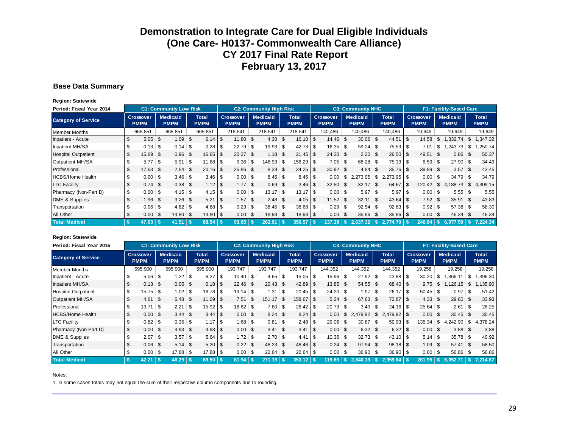#### **Base Data Summary**

**Region: Statewide**

| Period: Fiscal Year 2014   |     |                                 |      | <b>C1: Community Low Risk</b>  |            |                      |      |                          |      | <b>C2: Community High Risk</b> |                |                             |      |                                 |      | <b>C3: Community NHC</b>       |      |                             |      |                                 |              | <b>F1: Facility-Based Care</b> |                      |
|----------------------------|-----|---------------------------------|------|--------------------------------|------------|----------------------|------|--------------------------|------|--------------------------------|----------------|-----------------------------|------|---------------------------------|------|--------------------------------|------|-----------------------------|------|---------------------------------|--------------|--------------------------------|----------------------|
| <b>Category of Service</b> |     | <b>Crossover</b><br><b>PMPM</b> |      | <b>Medicaid</b><br><b>PMPM</b> |            | Total<br><b>PMPM</b> |      | Crossover<br><b>PMPM</b> |      | <b>Medicaid</b><br><b>PMPM</b> |                | <b>Total</b><br><b>PMPM</b> |      | <b>Crossover</b><br><b>PMPM</b> |      | <b>Medicaid</b><br><b>PMPM</b> |      | <b>Total</b><br><b>PMPM</b> |      | <b>Crossover</b><br><b>PMPM</b> |              | <b>Medicaid</b><br><b>PMPM</b> | Total<br><b>PMPM</b> |
| <b>Member Months</b>       |     | 665,851                         |      | 665,851                        |            | 665,851              |      | 218,541                  |      | 218.541                        |                | 218,541                     |      | 140,486                         |      | 140,486                        |      | 140,486                     |      | 19,649                          |              | 19,649                         | 19,649               |
| Inpatient - Acute          |     | 5.05                            | - \$ | 1.09                           | -\$        | $6.14$ \ \ \$        |      | 11.80 S                  |      | 4.30                           | \$             | 16.10                       | \$   | 14.46                           | \$   | 30.06 \$                       |      | 44.51                       | - \$ | 14.58                           | \$           | ,332.74                        | \$<br>1,347.32       |
| Inpatient MH/SA            |     | 0.13                            | - \$ | 0.14                           | $\vert$ \$ | 0.28                 |      | $22.79$ \$               |      | 19.93                          | \$             | 42.73                       | \$   | 16.35                           | \$   | $59.24$ \$                     |      | $75.59$ \ \$                |      | 7.01                            | \$           | ,243.73                        | \$<br>.250.74        |
| <b>Hospital Outpatient</b> |     | 15.69                           | -\$  | 0.96                           | \$         | 16.65                |      | $20.27$ \$               |      | 1.18                           | -S             | 21.45                       | \$   | 24.30                           | - \$ | $2.20\  \  \, $$               |      | $26.50$ \$                  |      | 49.51 \$                        |              | 0.86                           | \$<br>50.37          |
| Outpatient MH/SA           |     | $5.77$ \ \$                     |      | 5.91                           | <b>\$</b>  | 11.68                |      | $9.36$ \$                |      | 146.93 \$                      |                | 156.29                      | -S   | 7.05                            | \$   | 68.28 \$                       |      | $75.33$ \ \ \$              |      | 6.59                            | \$           | $27.90$ \$                     | 34.49                |
| Professional               |     | 17.63                           | -\$  | 2.54                           | \$         | 20.16                | l \$ | 25.86 \$                 |      | 8.39                           | $\mathfrak{L}$ | 34.25                       | \$   | $30.92$ \$                      |      | 4.84                           | - \$ |                             |      | 39.89                           | - \$         | 3.57                           | \$<br>43.45          |
| <b>HCBS/Home Health</b>    |     | 0.00                            | - \$ |                                |            |                      |      | $0.00$ \$                |      | $8.45$ \ \ \$                  |                | 8.45                        | \$   | 0.00                            | \$   | 2,273.95                       | \$   | $2,273.95$ \$               |      | 0.00                            | ၊ \$         | $34.79$ \$                     | 34.79                |
| <b>LTC Facility</b>        |     | 0.74                            | \$   | 0.38                           | -\$        | $1.12$   \$          |      | 1.77S                    |      | 0.69                           | -S             | 2.46                        | \$   | 32.50                           | - \$ | $32.17$ \$                     |      | 64.67                       | - \$ | 120.42                          | - \$         | 4.188.73                       | \$<br>4.309.15       |
| Pharmacy (Non-Part D)      | \$  | 0.00                            | ၊ န  |                                |            |                      |      | $0.00$ \$                |      | 13.17                          | \$             | 13.17                       | \$   | 0.00                            | \$   | $5.97$ \\$                     |      | 5.97                        | - \$ |                                 |              | $5.55$ \ \$                    | 5.55                 |
| DME & Supplies             |     | 1.96                            | \$   | 3.26                           | - \$       | 5.21                 |      | 1.57                     | - \$ | $2.48$ \$                      |                | 4.05                        | \$   | 11.52                           | - \$ | 32.11                          | - \$ | $43.64$ \ \ \$              |      | 7.92                            | - \$         | 35.91                          | \$<br>43.83          |
| Transportation             |     | 0.06                            | ၊ န  |                                |            | $4.88$ \ \ \$        |      | $0.23$ \$                |      | $38.45$ \$                     |                | 38.68                       | \$   | 0.29                            | \$   | $92.54$ \$                     |      |                             |      | $0.92$ \$                       |              | $57.38$ \$                     | 58.30                |
| All Other                  |     | 0.00                            | \$   | 14.80                          | -\$        |                      |      | $0.00 \text{ }$ \$       |      | 18.93                          | - \$           | 18.93                       | - \$ | 0.00                            | \$   | 35.96                          | - \$ | 35.96                       |      | 0.00                            | - \$         | 46.34                          | \$<br>46.34          |
| <b>Total Medical</b>       | -\$ | 47.03                           |      | 41.51                          | ∣\$        | 88.54                |      | 93.65                    |      | 262.91                         |                | 356.57                      |      | 137.38                          |      | 2.637.32                       |      | $2.774.70$ S                |      | 246.84                          | $\mathbf{s}$ | 6.977.50                       | 7.224.34             |

#### **Region: Statewide**

| Period: Fiscal Year 2015   |                                 |      | <b>C1: Community Low Risk</b>  |      |                             |      |                                 |   | <b>C2: Community High Risk</b> |      |                             |     |                                 |     | <b>C3: Community NHC</b>       |      |                             |                          |                                 |      | F1: Facility-Based Care        |      |                             |
|----------------------------|---------------------------------|------|--------------------------------|------|-----------------------------|------|---------------------------------|---|--------------------------------|------|-----------------------------|-----|---------------------------------|-----|--------------------------------|------|-----------------------------|--------------------------|---------------------------------|------|--------------------------------|------|-----------------------------|
| <b>Category of Service</b> | <b>Crossover</b><br><b>PMPM</b> |      | <b>Medicaid</b><br><b>PMPM</b> |      | <b>Total</b><br><b>PMPM</b> |      | <b>Crossover</b><br><b>PMPM</b> |   | <b>Medicaid</b><br><b>PMPM</b> |      | <b>Total</b><br><b>PMPM</b> |     | <b>Crossover</b><br><b>PMPM</b> |     | <b>Medicaid</b><br><b>PMPM</b> |      | <b>Total</b><br><b>PMPM</b> |                          | <b>Crossover</b><br><b>PMPM</b> |      | <b>Medicaid</b><br><b>PMPM</b> |      | <b>Total</b><br><b>PMPM</b> |
| Member Months              | 595,900                         |      | 595,900                        |      | 595,900                     |      | 193,747                         |   | 193.747                        |      | 193,747                     |     | 144,352                         |     | 144,352                        |      | 144,352                     |                          | 19,258                          |      | 19,258                         |      | 19,258                      |
| Inpatient - Acute          | \$<br>5.06                      | \$   |                                |      | 6.27                        | \$   | $10.40$ \$                      |   |                                |      | 15.05                       | \$  | 15.96                           | \$  | $27.92$ \$                     |      | 43.88                       | l \$                     | 30.20                           | \$   | ,366.11                        | \$   | .396.30                     |
| Inpatient MH/SA            | \$<br>0.13                      | \$   | 0.05                           | - \$ |                             |      | $22.46$ \$                      |   | 20.43                          | - \$ | 42.89                       | \$  | 13.85                           | \$. | 54.55 \$                       |      | $68.40$ \ \ \$              |                          | 9.75                            | \$   | 126.15                         | S.   | 135.90                      |
| <b>Hospital Outpatient</b> | \$<br>15.75                     | -\$  | 1.02                           | ∣\$  |                             |      | $19.14$ \$                      |   | 1.31                           | ∣\$  | 20.45                       | \$  | 24.20                           | \$  | 1.97                           | \$   | 26.17                       | l \$                     | $50.45$ \$                      |      | 0.97                           | \$   | 51.42                       |
| Outpatient MH/SA           | 4.61                            | - \$ | 6.48                           | -\$  |                             |      | 7.51                            | S | 151.17                         | - \$ | 158.67                      | \$  | 5.24                            | \$  | 67.63 \$                       |      | 72.87                       | $\overline{\phantom{a}}$ | 4.33                            | \$   | 29.60                          | - \$ | 33.93                       |
| Professional               | \$<br>13.71                     | -\$  | 2.21                           | \$   |                             |      | $18.82$ \$                      |   | 7.60                           | း    | 26.42                       | \$  | 20.73                           | \$  | 3.43                           | း    |                             |                          | $25.64$ \$                      |      | 2.61                           | ∣\$  | 28.25                       |
| <b>HCBS/Home Health</b>    | \$<br>0.00                      | £.   | 3.44                           | - \$ |                             |      | $0.00 \,$ \$                    |   | $8.24$ \$                      |      | 8.24                        | -\$ | 0.00                            | \$  | 2.479.92                       | \$   |                             |                          | 0.00                            | \$.  | 30.45                          | - \$ | 30.45                       |
| <b>LTC Facility</b>        | \$<br>0.82                      | -\$  |                                |      | 1.17                        | l \$ | 1.68 \$                         |   | $0.81$ \ \$                    |      | 2.48                        | \$  | 29.06                           | \$  | 30.87                          | - \$ | $59.93$ \$                  |                          | 135.34                          | \$   | 4,242.90                       | \$   | 4,378.24                    |
| Pharmacy (Non-Part D)      | \$<br>0.00                      | \$   | 4.93                           | - \$ |                             |      | $0.00 \text{ }$ \$              |   | $3.41 \text{ } $s$             |      | 3.41                        | \$  | $0.00 \,$ \$                    |     | $6.32$ \$                      |      |                             |                          | $0.00 \,$ \$                    |      | 3.88                           | -\$  | 3.88                        |
| DME & Supplies             | \$<br>2.07                      | \$   | 3.57                           | \$   |                             |      | $1.72$ \$                       |   | $2.70$ \$                      |      | 4.41                        | \$  | 10.36                           | \$  | $32.73$ \$                     |      | $43.10$ \ \$                |                          | 5.14                            | - \$ | $35.78$ \$                     |      | 40.92                       |
| Transportation             | 0.06                            | \$   | 5.14                           | - \$ |                             |      | $0.22 \quad$ \$                 |   | 48.23 \$                       |      | 48.46                       | \$  | 0.24                            | \$. | 97.94 \$                       |      |                             |                          | 1.09                            | - \$ | 57.41                          | - \$ | 58.50                       |
| All Other                  | \$<br>0.00                      | \$   | 17.88                          | ∣\$  |                             |      |                                 |   | $22.64$ \$                     |      | 22.64                       | \$  | 0.00                            | \$  | $36.90$ \$                     |      | $36.90$ \$                  |                          | 0.00                            | - \$ | 56.86                          | - S  | 56.86                       |
| <b>Total Medical</b>       | 42.21                           |      | 46.29                          |      | 88.50 \$                    |      | 81.94                           |   | 271.19                         |      | 353.12                      |     | 119.65                          |     | 2.840.19                       | -\$  |                             |                          | 261.95                          | S.   | 6.952.71                       | 45-  | 7.214.67                    |

Notes: